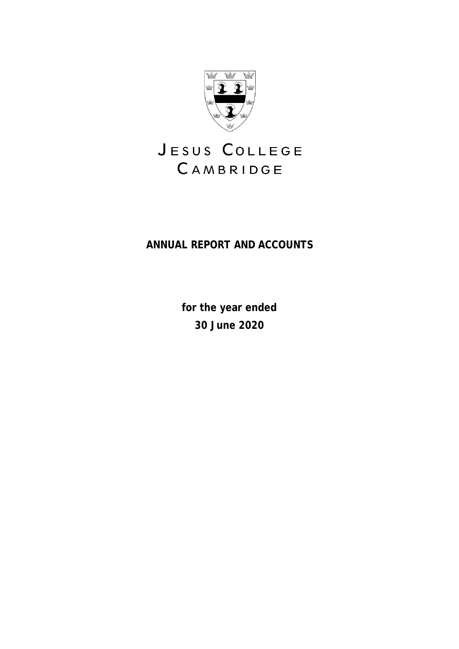

# JESUS COLLEGE CAMBRIDGE

# **ANNUAL REPORT AND ACCOUNTS**

**for the year ended 30 June 2020**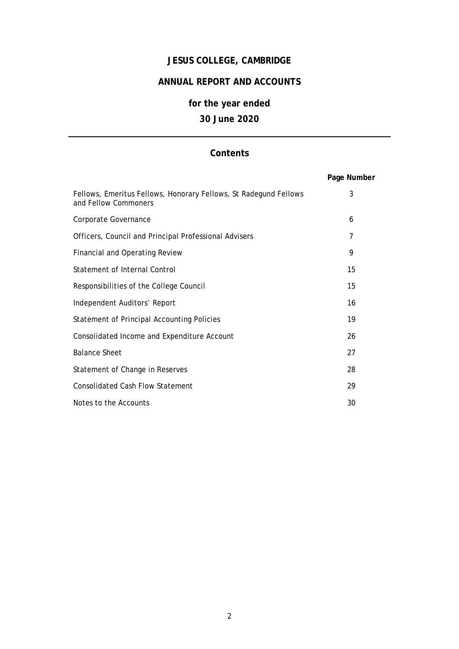# **JESUS COLLEGE, CAMBRIDGE**

# **ANNUAL REPORT AND ACCOUNTS**

# **for the year ended 30 June 2020**

# **Contents**

|                                                                                          | Page Number |
|------------------------------------------------------------------------------------------|-------------|
| Fellows, Emeritus Fellows, Honorary Fellows, St Radegund Fellows<br>and Fellow Commoners | 3           |
| Corporate Governance                                                                     | 6           |
| Officers, Council and Principal Professional Advisers                                    | 7           |
| <b>Financial and Operating Review</b>                                                    | 9           |
| Statement of Internal Control                                                            | 15          |
| Responsibilities of the College Council                                                  | 15          |
| Independent Auditors' Report                                                             | 16          |
| <b>Statement of Principal Accounting Policies</b>                                        | 19          |
| Consolidated Income and Expenditure Account                                              | 26          |
| <b>Balance Sheet</b>                                                                     | 27          |
| Statement of Change in Reserves                                                          | 28          |
| <b>Consolidated Cash Flow Statement</b>                                                  | 29          |
| Notes to the Accounts                                                                    | 30          |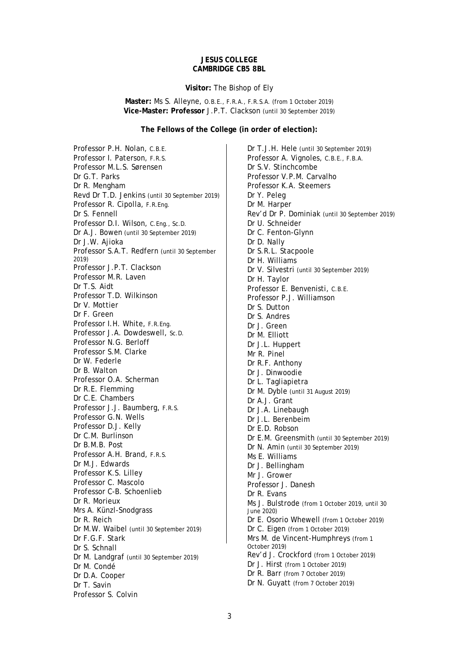### **JESUS COLLEGE CAMBRIDGE CB5 8BL**

#### **Visitor:** The Bishop of Ely

**Master:** Ms S. Alleyne, O.B.E., F.R.A., F.R.S.A. (from 1 October 2019) **Vice-Master: Professor** J.P.T. Clackson (until 30 September 2019)

### **The Fellows of the College (in order of election):**

Professor P.H. Nolan, C.B.E. Professor I. Paterson, F.R.S. Professor M.L.S. Sørensen Dr G.T. Parks Dr R. Mengham Revd Dr T.D. Jenkins (until 30 September 2019) Professor R. Cipolla, F.R.Eng. Dr S. Fennell Professor D.I. Wilson, C.Eng., Sc.D. Dr A.J. Bowen (until 30 September 2019) Dr J.W. Aijoka Professor S.A.T. Redfern (until 30 September 2019) Professor J.P.T. Clackson Professor M.R. Laven Dr T.S. Aidt Professor T.D. Wilkinson Dr V. Mottier Dr F. Green Professor I.H. White, F.R.Eng. Professor J.A. Dowdeswell, Sc.D. Professor N.G. Berloff Professor S.M. Clarke Dr W. Federle Dr B. Walton Professor O.A. Scherman Dr R.E. Flemming Dr C.E. Chambers Professor J.J. Baumberg, F.R.S. Professor G.N. Wells Professor D.J. Kelly Dr C.M. Burlinson Dr B.M.B. Post Professor A.H. Brand, F.R.S. Dr M.J. Edwards Professor K.S. Lilley Professor C. Mascolo Professor C-B. Schoenlieb Dr R. Morieux Mrs A. Künzl-Snodgrass Dr R. Reich Dr M.W. Waibel (until 30 September 2019) Dr F.G.F. Stark Dr S. Schnall Dr M. Landgraf (until 30 September 2019) Dr M. Condé Dr D.A. Cooper Dr T. Savin Professor S. Colvin

Dr T.J.H. Hele (until 30 September 2019) Professor A. Vignoles, C.B.E., F.B.A. Dr S.V. Stinchcombe Professor V.P.M. Carvalho Professor K.A. Steemers Dr Y. Peleg Dr M. Harper Rev'd Dr P. Dominiak (until 30 September 2019) Dr U. Schneider Dr C. Fenton-Glynn Dr D. Nally Dr S.R.L. Stacpoole Dr H. Williams Dr V. Silvestri (until 30 September 2019) Dr H. Taylor Professor E. Benvenisti, C.B.E. Professor P.J. Williamson Dr S. Dutton Dr S. Andres Dr J. Green Dr M. Elliott Dr J.L. Huppert Mr R. Pinel Dr R.F. Anthony Dr J. Dinwoodie Dr L. Tagliapietra Dr M. Dyble (until 31 August 2019) Dr A.J. Grant Dr J.A. Linebaugh Dr J.L. Berenbeim Dr E.D. Robson Dr E.M. Greensmith (until 30 September 2019) Dr N. Amin (until 30 September 2019) Ms E. Williams Dr J. Bellingham Mr J. Grower Professor J. Danesh Dr R. Evans Ms J. Bulstrode (from 1 October 2019, until 30 June 2020) Dr E. Osorio Whewell (from 1 October 2019) Dr C. Eigen (from 1 October 2019) Mrs M. de Vincent-Humphreys (from 1 October 2019) Rev'd J. Crockford (from 1 October 2019) Dr J. Hirst (from 1 October 2019) Dr R. Barr (from 7 October 2019) Dr N. Guyatt (from 7 October 2019)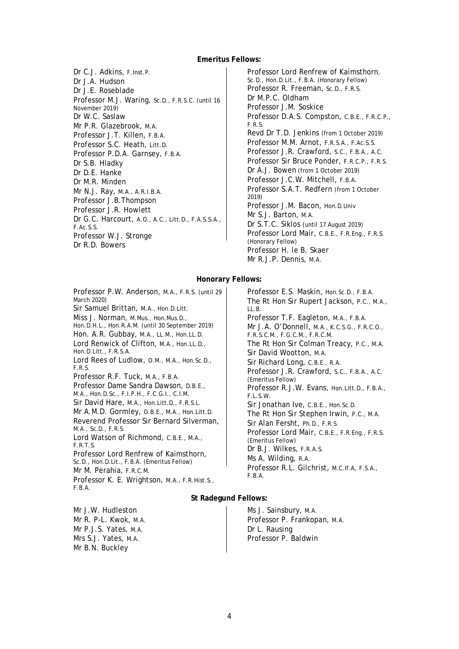### **Emeritus Fellows:**

Dr C.J. Adkins, F.Inst.P. Dr J.A. Hudson Dr J.E. Roseblade Professor M.J. Waring, Sc.D., F.R.S.C. (until 16 November 2019) Dr W.C. Saslaw Mr P.R. Glazebrook, M.A. Professor J.T. Killen, F.B.A. Professor S.C. Heath, Litt.D. Professor P.D.A. Garnsey, F.B.A. Dr S.B. Hladky Dr D.E. Hanke Dr M.R. Minden Mr N.J. Ray, M.A., A.R.I.B.A. Professor J.B.Thompson Professor J.R. Howlett Dr G.C. Harcourt, A.O., A.C., Litt.D., F.A.S.S.A., F.Ac.S.S. Professor W.J. Stronge Dr R.D. Bowers

Professor Lord Renfrew of Kaimsthorn, Sc.D., Hon.D.Lit., F.B.A. (Honorary Fellow) Professor R. Freeman, Sc.D., F.R.S. Dr M.P.C. Oldham Professor J.M. Soskice Professor D.A.S. Compston, C.B.E., F.R.C.P., F.R.S. Revd Dr T.D. Jenkins (from 1 October 2019) Professor M.M. Arnot, F.R.S.A., F.Ac.S.S. Professor J.R. Crawford, S.C., F.B.A., A.C. Professor Sir Bruce Ponder, F.R.C.P., F.R.S. Dr A.J. Bowen (from 1 October 2019) Professor J.C.W. Mitchell, F.B.A. Professor S.A.T. Redfern (from 1 October 2019) Professor J.M. Bacon, Hon.D.Univ Mr S.J. Barton, M.A. Dr S.T.C. Siklos (until 17 August 2019) Professor Lord Mair, C.B.E., F.R.Eng., F.R.S. (Honorary Fellow) Professor H. le B. Skaer Mr R.J.P. Dennis, M.A.

### **Honorary Fellows:**

Professor P.W. Anderson, M.A., F.R.S. (until 29 March 2020) Sir Samuel Brittan, M.A., Hon.D.Litt. Miss J. Norman, M.Mus., Hon.Mus.D., Hon.D.H.L., Hon.R.A.M. (until 30 September 2019) Hon. A.R. Gubbay, M.A., LL.M., Hon.LL.D. Lord Renwick of Clifton, M.A., Hon.LL.D., Hon.D.Litt., F.R.S.A. Lord Rees of Ludlow, O.M., M.A., Hon.Sc.D., F.R.S. Professor R.F. Tuck, M.A., F.B.A. Professor Dame Sandra Dawson, D.B.E., M.A., Hon.D.Sc., F.I.P.H., F.C.G.I., C.I.M. Sir David Hare, M.A., Hon.Litt.D., F.R.S.L. Mr A.M.D. Gormley, O.B.E., M.A., Hon.Litt.D. Reverend Professor Sir Bernard Silverman, M.A., Sc.D., F.R.S. Lord Watson of Richmond, C.B.E., M.A., F.R.T.S. Professor Lord Renfrew of Kaimsthorn, Sc.D., Hon.D.Lit., F.B.A. (Emeritus Fellow) Mr M. Perahia, F.R.C.M. Professor K. E. Wrightson, M.A., F.R.Hist.S., F.B.A.

Professor E.S. Maskin, Hon.Sc.D., F.B.A. The Rt Hon Sir Rupert Jackson, P.C., M.A., LL.B. Professor T.F. Eagleton, M.A., F.B.A. Mr J.A. O'Donnell, M.A., K.C.S.G., F.R.C.O., F.R.S.C.M., F.G.C.M., F.R.C.M. The Rt Hon Sir Colman Treacy, P.C., M.A. Sir David Wootton, M.A. Sir Richard Long, C.B.E., R.A. Professor J.R. Crawford, S.C., F.B.A., A.C. (Emeritus Fellow) Professor R.J.W. Evans, Hon.Litt.D., F.B.A., F.L.S.W. Sir Jonathan Ive, C.B.E., Hon.Sc.D. The Rt Hon Sir Stephen Irwin, P.C., M.A. Sir Alan Fersht, Ph.D., F.R.S. Professor Lord Mair, C.B.E., F.R.Eng., F.R.S. (Emeritus Fellow) Dr B.J. Wilkes, F.R.A.S. Ms A. Wilding, R.A. Professor R.L. Gilchrist, M.C.If.A, F.S.A., F.B.A.

### **St Radegund Fellows:**

Mr J.W. Hudleston Mr R. P-L. Kwok, M.A. Mr P.J.S. Yates, M.A. Mrs S.J. Yates, M.A. Mr B.N. Buckley

Ms J. Sainsbury, M.A. Professor P. Frankopan, M.A. Dr L. Rausing Professor P. Baldwin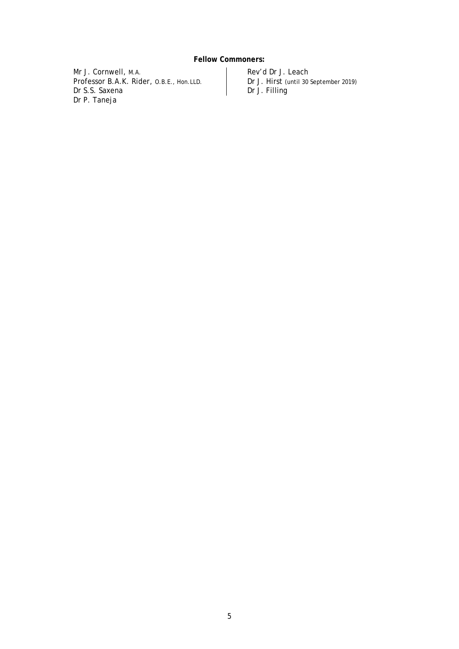# **Fellow Commoners:**

Mr J. Cornwell, M.A. Professor B.A.K. Rider, O.B.E., Hon.LLD. Dr S.S. Saxena Dr P. Taneja

Rev'd Dr J. Leach Dr J. Hirst (until 30 September 2019) Dr J. Filling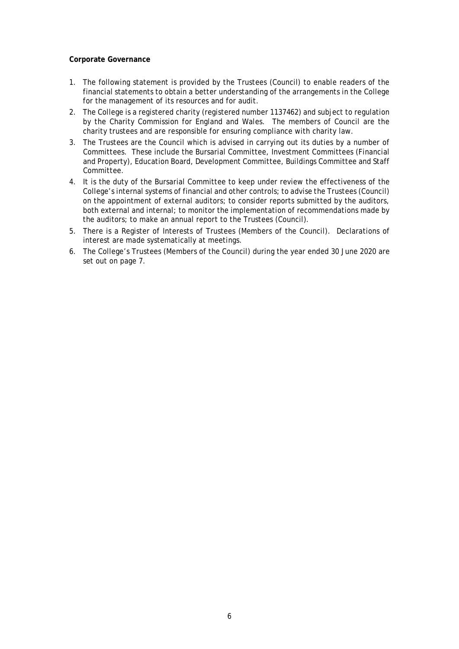### **Corporate Governance**

- 1. The following statement is provided by the Trustees (Council) to enable readers of the financial statements to obtain a better understanding of the arrangements in the College for the management of its resources and for audit.
- 2. The College is a registered charity (registered number 1137462) and subject to regulation by the Charity Commission for England and Wales. The members of Council are the charity trustees and are responsible for ensuring compliance with charity law.
- 3. The Trustees are the Council which is advised in carrying out its duties by a number of Committees. These include the Bursarial Committee, Investment Committees (Financial and Property), Education Board, Development Committee, Buildings Committee and Staff Committee.
- 4. It is the duty of the Bursarial Committee to keep under review the effectiveness of the College's internal systems of financial and other controls; to advise the Trustees (Council) on the appointment of external auditors; to consider reports submitted by the auditors, both external and internal; to monitor the implementation of recommendations made by the auditors; to make an annual report to the Trustees (Council).
- 5. There is a Register of Interests of Trustees (Members of the Council). Declarations of interest are made systematically at meetings.
- 6. The College's Trustees (Members of the Council) during the year ended 30 June 2020 are set out on page 7.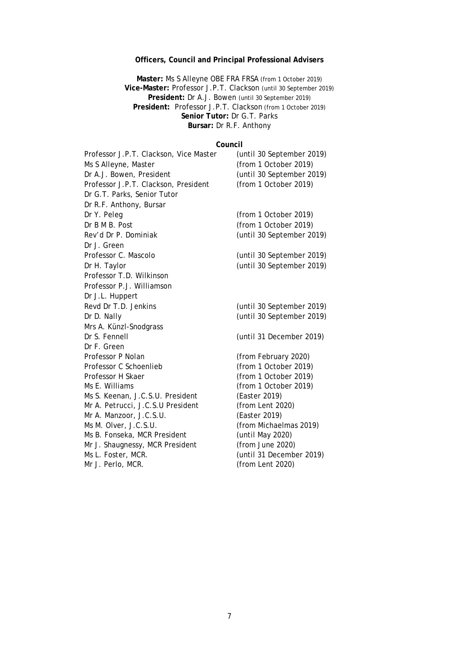# **Officers, Council and Principal Professional Advisers**

**Master:** Ms S Alleyne OBE FRA FRSA (from 1 October 2019) **Vice-Master:** Professor J.P.T. Clackson (until 30 September 2019) **President:** Dr A.J. Bowen (until 30 September 2019) **President:** Professor J.P.T. Clackson (from 1 October 2019) **Senior Tutor:** Dr G.T. Parks **Bursar:** Dr R.F. Anthony

# **Council**

| Professor J.P.T. Clackson, Vice Master | (until 30 September 2019) |
|----------------------------------------|---------------------------|
| Ms S Alleyne, Master                   | (from 1 October 2019)     |
| Dr A.J. Bowen, President               | (until 30 September 2019) |
| Professor J.P.T. Clackson, President   | (from 1 October 2019)     |
| Dr G.T. Parks, Senior Tutor            |                           |
| Dr R.F. Anthony, Bursar                |                           |
| Dr Y. Peleg                            | (from 1 October 2019)     |
| Dr B M B. Post                         | (from 1 October 2019)     |
| Rev'd Dr P. Dominiak                   | (until 30 September 2019) |
| Dr J. Green                            |                           |
| Professor C. Mascolo                   | (until 30 September 2019) |
| Dr H. Taylor                           | (until 30 September 2019) |
| Professor T.D. Wilkinson               |                           |
| Professor P.J. Williamson              |                           |
| Dr J.L. Huppert                        |                           |
| Revd Dr T.D. Jenkins                   | (until 30 September 2019) |
| Dr D. Nally                            | (until 30 September 2019) |
| Mrs A. Künzl-Snodgrass                 |                           |
| Dr S. Fennell                          | (until 31 December 2019)  |
| Dr F. Green                            |                           |
| Professor P Nolan                      | (from February 2020)      |
| Professor C Schoenlieb                 | (from 1 October 2019)     |
| Professor H Skaer                      | (from 1 October 2019)     |
| Ms E. Williams                         | (from 1 October 2019)     |
| Ms S. Keenan, J.C.S.U. President       | (Easter 2019)             |
| Mr A. Petrucci, J.C.S.U President      | (from Lent 2020)          |
| Mr A. Manzoor, J.C.S.U.                | (Easter 2019)             |
| Ms M. Olver, J.C.S.U.                  | (from Michaelmas 2019)    |
| Ms B. Fonseka, MCR President           | (until May 2020)          |
| Mr J. Shaugnessy, MCR President        | (from June 2020)          |
| Ms L. Foster, MCR.                     | (until 31 December 2019)  |
| Mr J. Perlo, MCR.                      | (from Lent 2020)          |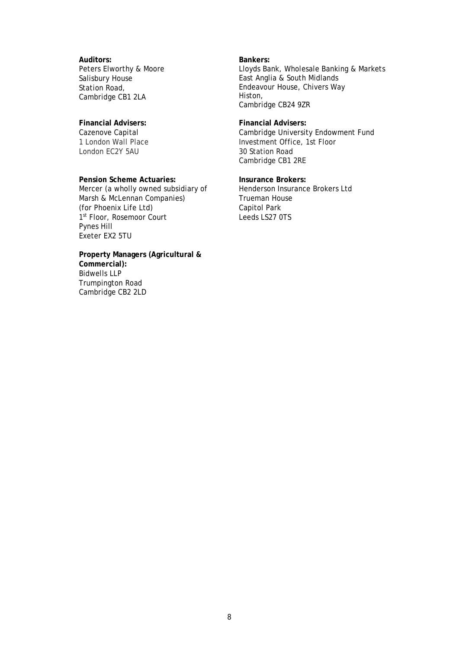**Auditors:** Peters Elworthy & Moore Salisbury House Station Road, Cambridge CB1 2LA

### **Financial Advisers:**

Cazenove Capital 1 London Wall Place London EC2Y 5AU

#### **Pension Scheme Actuaries:**

Mercer (a wholly owned subsidiary of Marsh & McLennan Companies) (for Phoenix Life Ltd) 1st Floor, Rosemoor Court Pynes Hill Exeter EX2 5TU

**Property Managers (Agricultural & Commercial):** Bidwells LLP Trumpington Road Cambridge CB2 2LD

**Bankers:** Lloyds Bank, Wholesale Banking & Markets East Anglia & South Midlands Endeavour House, Chivers Way Histon, Cambridge CB24 9ZR

**Financial Advisers:** Cambridge University Endowment Fund Investment Office, 1st Floor 30 Station Road Cambridge CB1 2RE

**Insurance Brokers:** Henderson Insurance Brokers Ltd Trueman House Capitol Park Leeds LS27 0TS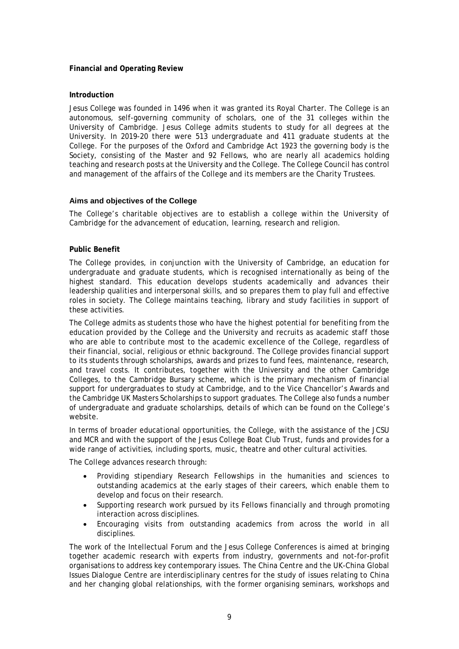### **Financial and Operating Review**

### **Introduction**

Jesus College was founded in 1496 when it was granted its Royal Charter. The College is an autonomous, self-governing community of scholars, one of the 31 colleges within the University of Cambridge. Jesus College admits students to study for all degrees at the University. In 2019-20 there were 513 undergraduate and 411 graduate students at the College. For the purposes of the Oxford and Cambridge Act 1923 the governing body is the Society, consisting of the Master and 92 Fellows, who are nearly all academics holding teaching and research posts at the University and the College. The College Council has control and management of the affairs of the College and its members are the Charity Trustees.

### **Aims and objectives of the College**

The College's charitable objectives are to establish a college within the University of Cambridge for the advancement of education, learning, research and religion.

### **Public Benefit**

The College provides, in conjunction with the University of Cambridge, an education for undergraduate and graduate students, which is recognised internationally as being of the highest standard. This education develops students academically and advances their leadership qualities and interpersonal skills, and so prepares them to play full and effective roles in society. The College maintains teaching, library and study facilities in support of these activities.

The College admits as students those who have the highest potential for benefiting from the education provided by the College and the University and recruits as academic staff those who are able to contribute most to the academic excellence of the College, regardless of their financial, social, religious or ethnic background. The College provides financial support to its students through scholarships, awards and prizes to fund fees, maintenance, research, and travel costs. It contributes, together with the University and the other Cambridge Colleges, to the Cambridge Bursary scheme, which is the primary mechanism of financial support for undergraduates to study at Cambridge, and to the Vice Chancellor's Awards and the Cambridge UK Masters Scholarships to support graduates. The College also funds a number of undergraduate and graduate scholarships, details of which can be found on the College's website.

In terms of broader educational opportunities, the College, with the assistance of the JCSU and MCR and with the support of the Jesus College Boat Club Trust, funds and provides for a wide range of activities, including sports, music, theatre and other cultural activities.

The College advances research through:

- Providing stipendiary Research Fellowships in the humanities and sciences to outstanding academics at the early stages of their careers, which enable them to develop and focus on their research.
- Supporting research work pursued by its Fellows financially and through promoting interaction across disciplines.
- Encouraging visits from outstanding academics from across the world in all disciplines.

The work of the Intellectual Forum and the Jesus College Conferences is aimed at bringing together academic research with experts from industry, governments and not-for-profit organisations to address key contemporary issues. The China Centre and the UK-China Global Issues Dialogue Centre are interdisciplinary centres for the study of issues relating to China and her changing global relationships, with the former organising seminars, workshops and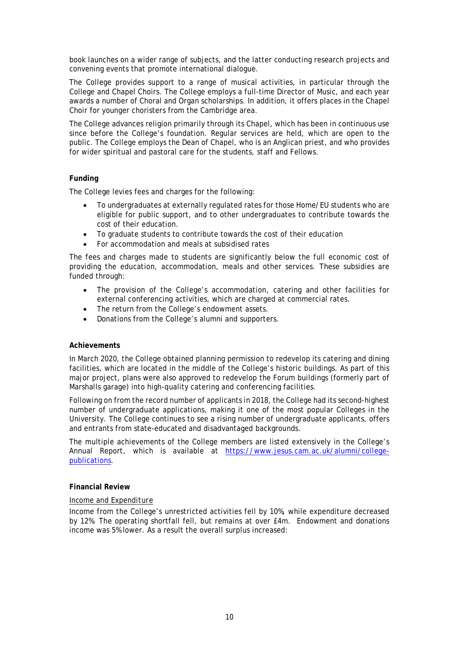book launches on a wider range of subjects, and the latter conducting research projects and convening events that promote international dialogue.

The College provides support to a range of musical activities, in particular through the College and Chapel Choirs. The College employs a full-time Director of Music, and each year awards a number of Choral and Organ scholarships. In addition, it offers places in the Chapel Choir for younger choristers from the Cambridge area.

The College advances religion primarily through its Chapel, which has been in continuous use since before the College's foundation. Regular services are held, which are open to the public. The College employs the Dean of Chapel, who is an Anglican priest, and who provides for wider spiritual and pastoral care for the students, staff and Fellows.

### **Funding**

The College levies fees and charges for the following:

- To undergraduates at externally regulated rates for those Home/EU students who are eligible for public support, and to other undergraduates to contribute towards the cost of their education.
- To graduate students to contribute towards the cost of their education
- For accommodation and meals at subsidised rates

The fees and charges made to students are significantly below the full economic cost of providing the education, accommodation, meals and other services. These subsidies are funded through:

- The provision of the College's accommodation, catering and other facilities for external conferencing activities, which are charged at commercial rates.
- The return from the College's endowment assets.
- Donations from the College's alumni and supporters.

### **Achievements**

In March 2020, the College obtained planning permission to redevelop its catering and dining facilities, which are located in the middle of the College's historic buildings. As part of this major project, plans were also approved to redevelop the Forum buildings (formerly part of Marshalls garage) into high-quality catering and conferencing facilities.

Following on from the record number of applicants in 2018, the College had its second-highest number of undergraduate applications, making it one of the most popular Colleges in the University. The College continues to see a rising number of undergraduate applicants, offers and entrants from state-educated and disadvantaged backgrounds.

The multiple achievements of the College members are listed extensively in the College's Annual Report, which is available at [https://www.jesus.cam.ac.uk/alumni/college](https://www.jesus.cam.ac.uk/alumni/college-publications)[publications.](https://www.jesus.cam.ac.uk/alumni/college-publications)

### **Financial Review**

### *Income and Expenditure*

Income from the College's unrestricted activities fell by 10%, while expenditure decreased by 12%. The operating shortfall fell, but remains at over £4m. Endowment and donations income was 5% lower. As a result the overall surplus increased: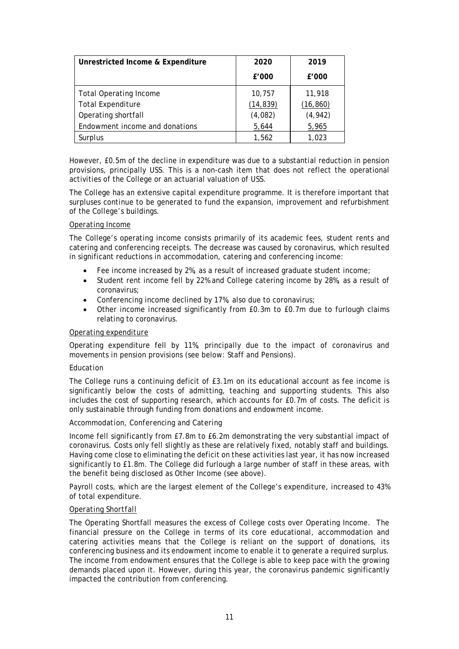| Unrestricted Income & Expenditure | 2020      | 2019      |
|-----------------------------------|-----------|-----------|
|                                   | £'000     | £'000     |
| <b>Total Operating Income</b>     | 10,757    | 11,918    |
| <b>Total Expenditure</b>          | (14, 839) | (16, 860) |
| Operating shortfall               | (4,082)   | (4, 942)  |
| Endowment income and donations    | 5,644     | 5,965     |
| Surplus                           | 1,562     | 1.023     |

However, £0.5m of the decline in expenditure was due to a substantial reduction in pension provisions, principally USS. This is a non-cash item that does not reflect the operational activities of the College or an actuarial valuation of USS.

The College has an extensive capital expenditure programme. It is therefore important that surpluses continue to be generated to fund the expansion, improvement and refurbishment of the College's buildings.

### *Operating Income*

The College's operating income consists primarily of its academic fees, student rents and catering and conferencing receipts. The decrease was caused by coronavirus, which resulted in significant reductions in accommodation, catering and conferencing income:

- Fee income increased by 2%, as a result of increased graduate student income;
- Student rent income fell by 22% and College catering income by 28%, as a result of coronavirus;
- Conferencing income declined by 17%, also due to coronavirus;
- Other income increased significantly from  $E(0.3m)$  to  $E(0.7m)$  due to furlough claims relating to coronavirus.

### *Operating expenditure*

Operating expenditure fell by 11%, principally due to the impact of coronavirus and movements in pension provisions (see below: Staff and Pensions).

### *Education*

The College runs a continuing deficit of £3.1m on its educational account as fee income is significantly below the costs of admitting, teaching and supporting students. This also includes the cost of supporting research, which accounts for £0.7m of costs. The deficit is only sustainable through funding from donations and endowment income.

### *Accommodation, Conferencing and Catering*

Income fell significantly from £7.8m to £6.2m demonstrating the very substantial impact of coronavirus. Costs only fell slightly as these are relatively fixed, notably staff and buildings. Having come close to eliminating the deficit on these activities last year, it has now increased significantly to £1.8m. The College did furlough a large number of staff in these areas, with the benefit being disclosed as Other Income (see above).

Payroll costs, which are the largest element of the College's expenditure, increased to 43% of total expenditure.

### *Operating Shortfall*

The Operating Shortfall measures the excess of College costs over Operating Income. The financial pressure on the College in terms of its core educational, accommodation and catering activities means that the College is reliant on the support of donations, its conferencing business and its endowment income to enable it to generate a required surplus. The income from endowment ensures that the College is able to keep pace with the growing demands placed upon it. However, during this year, the coronavirus pandemic significantly impacted the contribution from conferencing.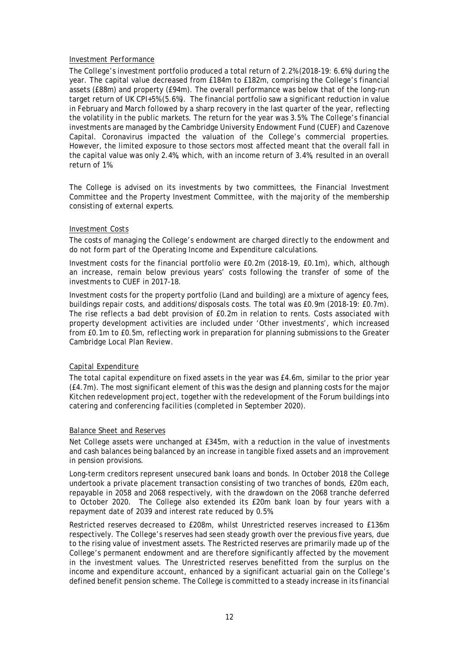### *Investment Performance*

The College's investment portfolio produced a total return of 2.2% *(2018-19: 6.6%)* during the year. The capital value decreased from £184m to £182m, comprising the College's financial assets (£88m) and property (£94m). The overall performance was below that of the long-run target return of UK CPI+5% (5.6%). The financial portfolio saw a significant reduction in value in February and March followed by a sharp recovery in the last quarter of the year, reflecting the volatility in the public markets. The return for the year was 3.5%. The College's financial investments are managed by the Cambridge University Endowment Fund (CUEF) and Cazenove Capital. Coronavirus impacted the valuation of the College's commercial properties. However, the limited exposure to those sectors most affected meant that the overall fall in the capital value was only 2.4%, which, with an income return of 3.4%, resulted in an overall return of 1%.

The College is advised on its investments by two committees, the Financial Investment Committee and the Property Investment Committee, with the majority of the membership consisting of external experts.

### *Investment Costs*

The costs of managing the College's endowment are charged directly to the endowment and do not form part of the Operating Income and Expenditure calculations.

Investment costs for the financial portfolio were £0.2m (*2018-19, £0.1m*), which, although an increase, remain below previous years' costs following the transfer of some of the investments to CUEF in 2017-18.

Investment costs for the property portfolio (Land and building) are a mixture of agency fees, buildings repair costs, and additions/disposals costs. The total was £0.9m (*2018-19: £0.7m*). The rise reflects a bad debt provision of £0.2m in relation to rents. Costs associated with property development activities are included under 'Other investments', which increased from £0.1m to £0.5m, reflecting work in preparation for planning submissions to the Greater Cambridge Local Plan Review.

## *Capital Expenditure*

The total capital expenditure on fixed assets in the year was £4.6m, similar to the prior year (£4.7m). The most significant element of this was the design and planning costs for the major Kitchen redevelopment project, together with the redevelopment of the Forum buildings into catering and conferencing facilities (completed in September 2020).

### *Balance Sheet and Reserves*

Net College assets were unchanged at £345m, with a reduction in the value of investments and cash balances being balanced by an increase in tangible fixed assets and an improvement in pension provisions.

Long-term creditors represent unsecured bank loans and bonds. In October 2018 the College undertook a private placement transaction consisting of two tranches of bonds, £20m each, repayable in 2058 and 2068 respectively, with the drawdown on the 2068 tranche deferred to October 2020. The College also extended its £20m bank loan by four years with a repayment date of 2039 and interest rate reduced by 0.5%.

Restricted reserves decreased to £208m, whilst Unrestricted reserves increased to £136m respectively. The College's reserves had seen steady growth over the previous five years, due to the rising value of investment assets. The Restricted reserves are primarily made up of the College's permanent endowment and are therefore significantly affected by the movement in the investment values. The Unrestricted reserves benefitted from the surplus on the income and expenditure account, enhanced by a significant actuarial gain on the College's defined benefit pension scheme. The College is committed to a steady increase in its financial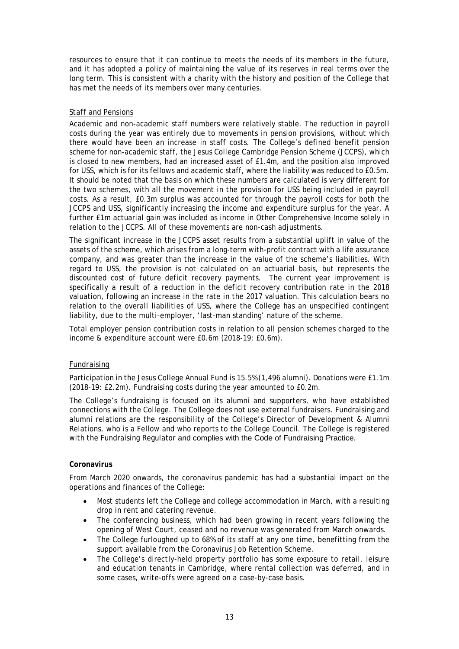resources to ensure that it can continue to meets the needs of its members in the future, and it has adopted a policy of maintaining the value of its reserves in real terms over the long term. This is consistent with a charity with the history and position of the College that has met the needs of its members over many centuries.

## *Staff and Pensions*

Academic and non-academic staff numbers were relatively stable. The reduction in payroll costs during the year was entirely due to movements in pension provisions, without which there would have been an increase in staff costs. The College's defined benefit pension scheme for non-academic staff, the Jesus College Cambridge Pension Scheme (JCCPS), which is closed to new members, had an increased asset of £1.4m, and the position also improved for USS, which is for its fellows and academic staff, where the liability was reduced to £0.5m. It should be noted that the basis on which these numbers are calculated is very different for the two schemes, with all the movement in the provision for USS being included in payroll costs. As a result, £0.3m surplus was accounted for through the payroll costs for both the JCCPS and USS, significantly increasing the income and expenditure surplus for the year. A further £1m actuarial gain was included as income in Other Comprehensive Income solely in relation to the JCCPS. All of these movements are non-cash adjustments.

The significant increase in the JCCPS asset results from a substantial uplift in value of the assets of the scheme, which arises from a long-term with-profit contract with a life assurance company, and was greater than the increase in the value of the scheme's liabilities. With regard to USS, the provision is not calculated on an actuarial basis, but represents the discounted cost of future deficit recovery payments. The current year improvement is specifically a result of a reduction in the deficit recovery contribution rate in the 2018 valuation, following an increase in the rate in the 2017 valuation. This calculation bears no relation to the overall liabilities of USS, where the College has an unspecified contingent liability, due to the multi-employer, 'last-man standing' nature of the scheme.

Total employer pension contribution costs in relation to all pension schemes charged to the income & expenditure account were £0.6m (*2018-19: £0.6m*).

### *Fundraising*

Participation in the Jesus College Annual Fund is 15.5% (1,496 alumni). Donations were £1.1m (*2018-19: £2.2m*). Fundraising costs during the year amounted to £0.2m.

The College's fundraising is focused on its alumni and supporters, who have established connections with the College. The College does not use external fundraisers. Fundraising and alumni relations are the responsibility of the College's Director of Development & Alumni Relations, who is a Fellow and who reports to the College Council. The College is registered with the Fundraising Regulator and complies with the Code of Fundraising Practice.

### **Coronavirus**

From March 2020 onwards, the coronavirus pandemic has had a substantial impact on the operations and finances of the College:

- Most students left the College and college accommodation in March, with a resulting drop in rent and catering revenue.
- The conferencing business, which had been growing in recent years following the opening of West Court, ceased and no revenue was generated from March onwards.
- The College furloughed up to 68% of its staff at any one time, benefitting from the support available from the Coronavirus Job Retention Scheme.
- The College's directly-held property portfolio has some exposure to retail, leisure and education tenants in Cambridge, where rental collection was deferred, and in some cases, write-offs were agreed on a case-by-case basis.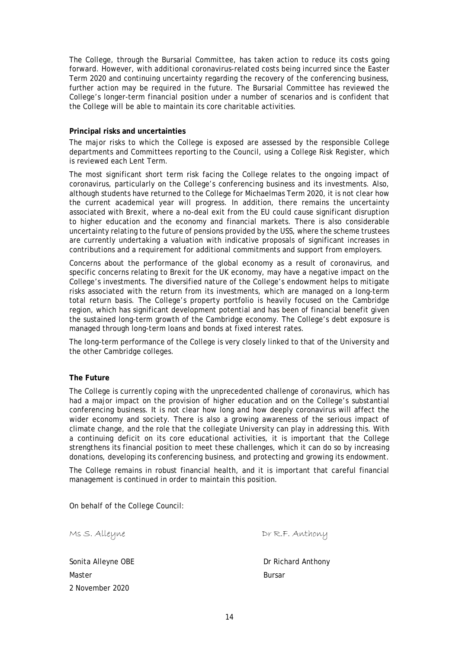The College, through the Bursarial Committee, has taken action to reduce its costs going forward. However, with additional coronavirus-related costs being incurred since the Easter Term 2020 and continuing uncertainty regarding the recovery of the conferencing business, further action may be required in the future. The Bursarial Committee has reviewed the College's longer-term financial position under a number of scenarios and is confident that the College will be able to maintain its core charitable activities.

### **Principal risks and uncertainties**

The major risks to which the College is exposed are assessed by the responsible College departments and Committees reporting to the Council, using a College Risk Register, which is reviewed each Lent Term.

The most significant short term risk facing the College relates to the ongoing impact of coronavirus, particularly on the College's conferencing business and its investments. Also, although students have returned to the College for Michaelmas Term 2020, it is not clear how the current academical year will progress. In addition, there remains the uncertainty associated with Brexit, where a no-deal exit from the EU could cause significant disruption to higher education and the economy and financial markets. There is also considerable uncertainty relating to the future of pensions provided by the USS, where the scheme trustees are currently undertaking a valuation with indicative proposals of significant increases in contributions and a requirement for additional commitments and support from employers.

Concerns about the performance of the global economy as a result of coronavirus, and specific concerns relating to Brexit for the UK economy, may have a negative impact on the College's investments. The diversified nature of the College's endowment helps to mitigate risks associated with the return from its investments, which are managed on a long-term total return basis. The College's property portfolio is heavily focused on the Cambridge region, which has significant development potential and has been of financial benefit given the sustained long-term growth of the Cambridge economy. The College's debt exposure is managed through long-term loans and bonds at fixed interest rates.

The long-term performance of the College is very closely linked to that of the University and the other Cambridge colleges.

### **The Future**

The College is currently coping with the unprecedented challenge of coronavirus, which has had a major impact on the provision of higher education and on the College's substantial conferencing business. It is not clear how long and how deeply coronavirus will affect the wider economy and society. There is also a growing awareness of the serious impact of climate change, and the role that the collegiate University can play in addressing this. With a continuing deficit on its core educational activities, it is important that the College strengthens its financial position to meet these challenges, which it can do so by increasing donations, developing its conferencing business, and protecting and growing its endowment.

The College remains in robust financial health, and it is important that careful financial management is continued in order to maintain this position.

On behalf of the College Council:

| Ms S. Alleyne      | Dr R.F. Anthony    |
|--------------------|--------------------|
| Sonita Alleyne OBE | Dr Richard Anthony |
| Master             | <b>Bursar</b>      |
| 2 November 2020    |                    |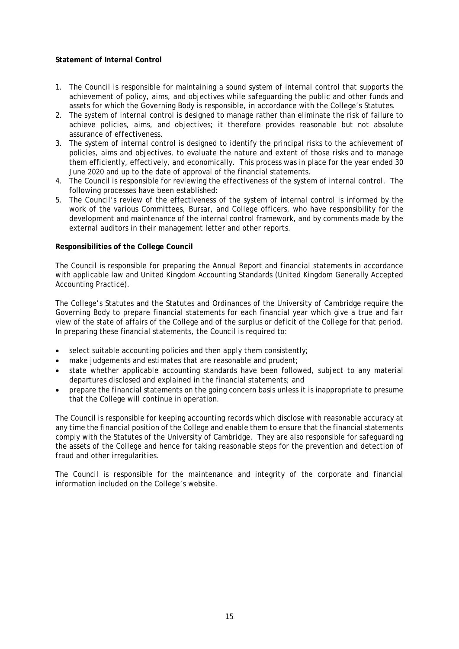# **Statement of Internal Control**

- 1. The Council is responsible for maintaining a sound system of internal control that supports the achievement of policy, aims, and objectives while safeguarding the public and other funds and assets for which the Governing Body is responsible, in accordance with the College's Statutes.
- 2. The system of internal control is designed to manage rather than eliminate the risk of failure to achieve policies, aims, and objectives; it therefore provides reasonable but not absolute assurance of effectiveness.
- 3. The system of internal control is designed to identify the principal risks to the achievement of policies, aims and objectives, to evaluate the nature and extent of those risks and to manage them efficiently, effectively, and economically. This process was in place for the year ended 30 June 2020 and up to the date of approval of the financial statements.
- 4. The Council is responsible for reviewing the effectiveness of the system of internal control. The following processes have been established:
- 5. The Council's review of the effectiveness of the system of internal control is informed by the work of the various Committees, Bursar, and College officers, who have responsibility for the development and maintenance of the internal control framework, and by comments made by the external auditors in their management letter and other reports.

### **Responsibilities of the College Council**

The Council is responsible for preparing the Annual Report and financial statements in accordance with applicable law and United Kingdom Accounting Standards (United Kingdom Generally Accepted Accounting Practice).

The College's Statutes and the Statutes and Ordinances of the University of Cambridge require the Governing Body to prepare financial statements for each financial year which give a true and fair view of the state of affairs of the College and of the surplus or deficit of the College for that period. In preparing these financial statements, the Council is required to:

- select suitable accounting policies and then apply them consistently;
- make judgements and estimates that are reasonable and prudent;
- state whether applicable accounting standards have been followed, subject to any material departures disclosed and explained in the financial statements; and
- prepare the financial statements on the going concern basis unless it is inappropriate to presume that the College will continue in operation.

The Council is responsible for keeping accounting records which disclose with reasonable accuracy at any time the financial position of the College and enable them to ensure that the financial statements comply with the Statutes of the University of Cambridge. They are also responsible for safeguarding the assets of the College and hence for taking reasonable steps for the prevention and detection of fraud and other irregularities.

The Council is responsible for the maintenance and integrity of the corporate and financial information included on the College's website.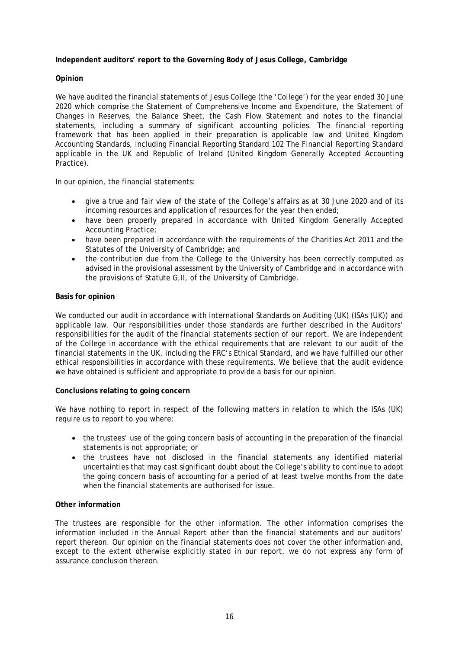## **Independent auditors' report to the Governing Body of Jesus College, Cambridge**

### **Opinion**

We have audited the financial statements of Jesus College (the 'College') for the year ended 30 June 2020 which comprise the Statement of Comprehensive Income and Expenditure, the Statement of Changes in Reserves, the Balance Sheet, the Cash Flow Statement and notes to the financial statements, including a summary of significant accounting policies. The financial reporting framework that has been applied in their preparation is applicable law and United Kingdom Accounting Standards, including Financial Reporting Standard 102 *The Financial Reporting Standard applicable in the UK and Republic of Ireland* (United Kingdom Generally Accepted Accounting Practice).

In our opinion, the financial statements:

- give a true and fair view of the state of the College's affairs as at 30 June 2020 and of its incoming resources and application of resources for the year then ended;
- have been properly prepared in accordance with United Kingdom Generally Accepted Accounting Practice;
- have been prepared in accordance with the requirements of the Charities Act 2011 and the Statutes of the University of Cambridge; and
- the contribution due from the College to the University has been correctly computed as advised in the provisional assessment by the University of Cambridge and in accordance with the provisions of Statute G,II, of the University of Cambridge.

### **Basis for opinion**

We conducted our audit in accordance with International Standards on Auditing (UK) (ISAs (UK)) and applicable law. Our responsibilities under those standards are further described in the Auditors' responsibilities for the audit of the financial statements section of our report. We are independent of the College in accordance with the ethical requirements that are relevant to our audit of the financial statements in the UK, including the FRC's Ethical Standard, and we have fulfilled our other ethical responsibilities in accordance with these requirements. We believe that the audit evidence we have obtained is sufficient and appropriate to provide a basis for our opinion.

### **Conclusions relating to going concern**

We have nothing to report in respect of the following matters in relation to which the ISAs (UK) require us to report to you where:

- the trustees' use of the going concern basis of accounting in the preparation of the financial statements is not appropriate; or
- the trustees have not disclosed in the financial statements any identified material uncertainties that may cast significant doubt about the College's ability to continue to adopt the going concern basis of accounting for a period of at least twelve months from the date when the financial statements are authorised for issue.

### **Other information**

The trustees are responsible for the other information. The other information comprises the information included in the Annual Report other than the financial statements and our auditors' report thereon. Our opinion on the financial statements does not cover the other information and, except to the extent otherwise explicitly stated in our report, we do not express any form of assurance conclusion thereon.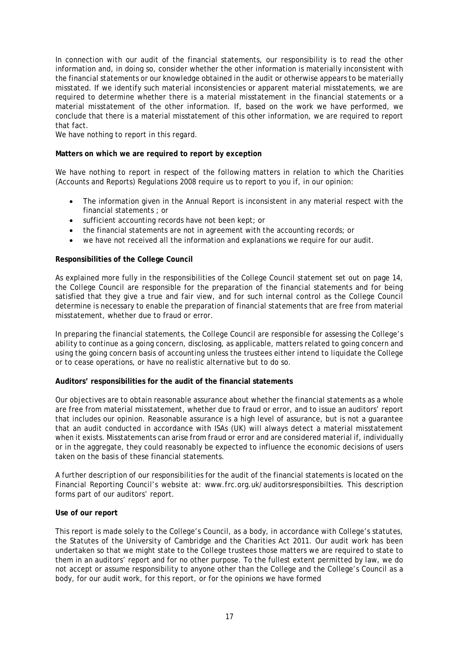In connection with our audit of the financial statements, our responsibility is to read the other information and, in doing so, consider whether the other information is materially inconsistent with the financial statements or our knowledge obtained in the audit or otherwise appears to be materially misstated. If we identify such material inconsistencies or apparent material misstatements, we are required to determine whether there is a material misstatement in the financial statements or a material misstatement of the other information. If, based on the work we have performed, we conclude that there is a material misstatement of this other information, we are required to report that fact.

We have nothing to report in this regard.

### **Matters on which we are required to report by exception**

We have nothing to report in respect of the following matters in relation to which the Charities (Accounts and Reports) Regulations 2008 require us to report to you if, in our opinion:

- The information given in the Annual Report is inconsistent in any material respect with the financial statements ; or
- sufficient accounting records have not been kept; or
- the financial statements are not in agreement with the accounting records; or
- we have not received all the information and explanations we require for our audit.

### **Responsibilities of the College Council**

As explained more fully in the responsibilities of the College Council statement set out on page 14, the College Council are responsible for the preparation of the financial statements and for being satisfied that they give a true and fair view, and for such internal control as the College Council determine is necessary to enable the preparation of financial statements that are free from material misstatement, whether due to fraud or error.

In preparing the financial statements, the College Council are responsible for assessing the College's ability to continue as a going concern, disclosing, as applicable, matters related to going concern and using the going concern basis of accounting unless the trustees either intend to liquidate the College or to cease operations, or have no realistic alternative but to do so.

### **Auditors' responsibilities for the audit of the financial statements**

Our objectives are to obtain reasonable assurance about whether the financial statements as a whole are free from material misstatement, whether due to fraud or error, and to issue an auditors' report that includes our opinion. Reasonable assurance is a high level of assurance, but is not a guarantee that an audit conducted in accordance with ISAs (UK) will always detect a material misstatement when it exists. Misstatements can arise from fraud or error and are considered material if, individually or in the aggregate, they could reasonably be expected to influence the economic decisions of users taken on the basis of these financial statements.

A further description of our responsibilities for the audit of the financial statements is located on the Financial Reporting Council's website at: www.frc.org.uk/auditorsresponsibilties. This description forms part of our auditors' report.

### **Use of our report**

This report is made solely to the College's Council, as a body, in accordance with College's statutes, the Statutes of the University of Cambridge and the Charities Act 2011. Our audit work has been undertaken so that we might state to the College trustees those matters we are required to state to them in an auditors' report and for no other purpose. To the fullest extent permitted by law, we do not accept or assume responsibility to anyone other than the College and the College's Council as a body, for our audit work, for this report, or for the opinions we have formed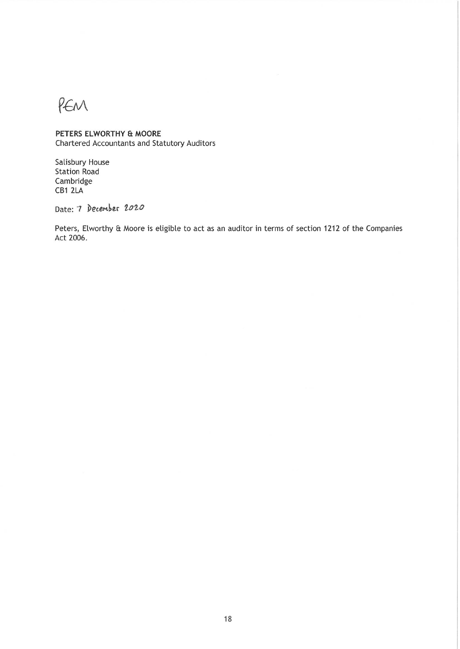PEM

# PETERS ELWORTHY & MOORE

Chartered Accountants and Statutory Auditors

Salisbury House **Station Road** Cambridge CB1 2LA

Date: 7 December 2020

Peters, Elworthy & Moore is eligible to act as an auditor in terms of section 1212 of the Companies Act 2006.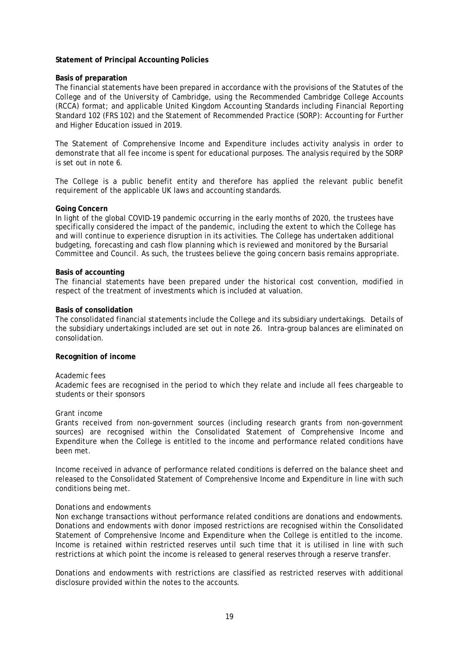### **Statement of Principal Accounting Policies**

#### **Basis of preparation**

The financial statements have been prepared in accordance with the provisions of the Statutes of the College and of the University of Cambridge, using the Recommended Cambridge College Accounts (RCCA) format; and applicable United Kingdom Accounting Standards including Financial Reporting Standard 102 (FRS 102) and the Statement of Recommended Practice (SORP): Accounting for Further and Higher Education issued in 2019.

The Statement of Comprehensive Income and Expenditure includes activity analysis in order to demonstrate that all fee income is spent for educational purposes. The analysis required by the SORP is set out in note 6.

The College is a public benefit entity and therefore has applied the relevant public benefit requirement of the applicable UK laws and accounting standards.

#### **Going Concern**

In light of the global COVID-19 pandemic occurring in the early months of 2020, the trustees have specifically considered the impact of the pandemic, including the extent to which the College has and will continue to experience disruption in its activities. The College has undertaken additional budgeting, forecasting and cash flow planning which is reviewed and monitored by the Bursarial Committee and Council. As such, the trustees believe the going concern basis remains appropriate.

#### **Basis of accounting**

The financial statements have been prepared under the historical cost convention, modified in respect of the treatment of investments which is included at valuation.

#### **Basis of consolidation**

The consolidated financial statements include the College and its subsidiary undertakings. Details of the subsidiary undertakings included are set out in note 26. Intra-group balances are eliminated on consolidation.

### **Recognition of income**

#### *Academic fees*

Academic fees are recognised in the period to which they relate and include all fees chargeable to students or their sponsors

#### *Grant income*

Grants received from non-government sources (including research grants from non-government sources) are recognised within the Consolidated Statement of Comprehensive Income and Expenditure when the College is entitled to the income and performance related conditions have been met.

Income received in advance of performance related conditions is deferred on the balance sheet and released to the Consolidated Statement of Comprehensive Income and Expenditure in line with such conditions being met.

#### *Donations and endowments*

Non exchange transactions without performance related conditions are donations and endowments. Donations and endowments with donor imposed restrictions are recognised within the Consolidated Statement of Comprehensive Income and Expenditure when the College is entitled to the income. Income is retained within restricted reserves until such time that it is utilised in line with such restrictions at which point the income is released to general reserves through a reserve transfer.

Donations and endowments with restrictions are classified as restricted reserves with additional disclosure provided within the notes to the accounts.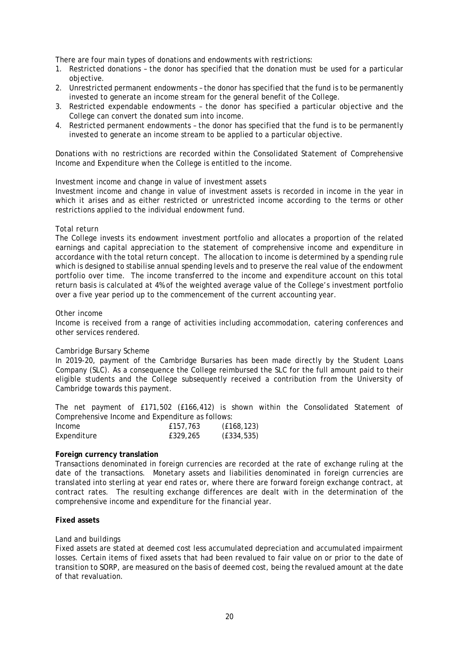There are four main types of donations and endowments with restrictions:

- 1. Restricted donations the donor has specified that the donation must be used for a particular objective.
- 2. Unrestricted permanent endowments the donor has specified that the fund is to be permanently invested to generate an income stream for the general benefit of the College.
- 3. Restricted expendable endowments the donor has specified a particular objective and the College can convert the donated sum into income.
- 4. Restricted permanent endowments the donor has specified that the fund is to be permanently invested to generate an income stream to be applied to a particular objective.

Donations with no restrictions are recorded within the Consolidated Statement of Comprehensive Income and Expenditure when the College is entitled to the income.

### *Investment income and change in value of investment assets*

Investment income and change in value of investment assets is recorded in income in the year in which it arises and as either restricted or unrestricted income according to the terms or other restrictions applied to the individual endowment fund.

### *Total return*

The College invests its endowment investment portfolio and allocates a proportion of the related earnings and capital appreciation to the statement of comprehensive income and expenditure in accordance with the total return concept. The allocation to income is determined by a spending rule which is designed to stabilise annual spending levels and to preserve the real value of the endowment portfolio over time. The income transferred to the income and expenditure account on this total return basis is calculated at 4% of the weighted average value of the College's investment portfolio over a five year period up to the commencement of the current accounting year.

#### *Other income*

Income is received from a range of activities including accommodation, catering conferences and other services rendered.

### *Cambridge Bursary Scheme*

In 2019-20, payment of the Cambridge Bursaries has been made directly by the Student Loans Company (SLC). As a consequence the College reimbursed the SLC for the full amount paid to their eligible students and the College subsequently received a contribution from the University of Cambridge towards this payment.

The net payment of £171,502 (£166,412) is shown within the Consolidated Statement of Comprehensive Income and Expenditure as follows:

| Income      | £157,763 | (E168, 123) |
|-------------|----------|-------------|
| Expenditure | £329,265 | (E334, 535) |

### **Foreign currency translation**

Transactions denominated in foreign currencies are recorded at the rate of exchange ruling at the date of the transactions. Monetary assets and liabilities denominated in foreign currencies are translated into sterling at year end rates or, where there are forward foreign exchange contract, at contract rates. The resulting exchange differences are dealt with in the determination of the comprehensive income and expenditure for the financial year.

### **Fixed assets**

### *Land and buildings*

Fixed assets are stated at deemed cost less accumulated depreciation and accumulated impairment losses. Certain items of fixed assets that had been revalued to fair value on or prior to the date of transition to SORP, are measured on the basis of deemed cost, being the revalued amount at the date of that revaluation.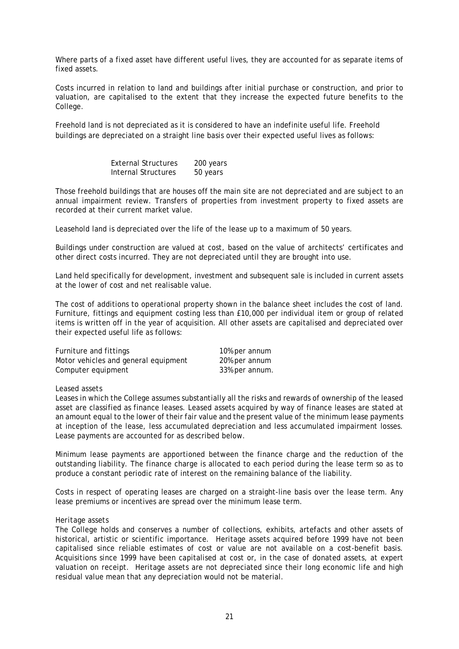Where parts of a fixed asset have different useful lives, they are accounted for as separate items of fixed assets.

Costs incurred in relation to land and buildings after initial purchase or construction, and prior to valuation, are capitalised to the extent that they increase the expected future benefits to the College.

Freehold land is not depreciated as it is considered to have an indefinite useful life. Freehold buildings are depreciated on a straight line basis over their expected useful lives as follows:

| <b>External Structures</b> | 200 years |
|----------------------------|-----------|
| Internal Structures        | 50 years  |

Those freehold buildings that are houses off the main site are not depreciated and are subject to an annual impairment review. Transfers of properties from investment property to fixed assets are recorded at their current market value.

Leasehold land is depreciated over the life of the lease up to a maximum of 50 years.

Buildings under construction are valued at cost, based on the value of architects' certificates and other direct costs incurred. They are not depreciated until they are brought into use.

Land held specifically for development, investment and subsequent sale is included in current assets at the lower of cost and net realisable value.

The cost of additions to operational property shown in the balance sheet includes the cost of land. Furniture, fittings and equipment costing less than £10,000 per individual item or group of related items is written off in the year of acquisition. All other assets are capitalised and depreciated over their expected useful life as follows:

| Furniture and fittings               | 10% per annum  |
|--------------------------------------|----------------|
| Motor vehicles and general equipment | 20% per annum  |
| Computer equipment                   | 33% per annum. |

### *Leased assets*

Leases in which the College assumes substantially all the risks and rewards of ownership of the leased asset are classified as finance leases. Leased assets acquired by way of finance leases are stated at an amount equal to the lower of their fair value and the present value of the minimum lease payments at inception of the lease, less accumulated depreciation and less accumulated impairment losses. Lease payments are accounted for as described below.

Minimum lease payments are apportioned between the finance charge and the reduction of the outstanding liability. The finance charge is allocated to each period during the lease term so as to produce a constant periodic rate of interest on the remaining balance of the liability.

Costs in respect of operating leases are charged on a straight-line basis over the lease term. Any lease premiums or incentives are spread over the minimum lease term.

### *Heritage assets*

The College holds and conserves a number of collections, exhibits, artefacts and other assets of historical, artistic or scientific importance. Heritage assets acquired before 1999 have not been capitalised since reliable estimates of cost or value are not available on a cost-benefit basis. Acquisitions since 1999 have been capitalised at cost or, in the case of donated assets, at expert valuation on receipt. Heritage assets are not depreciated since their long economic life and high residual value mean that any depreciation would not be material.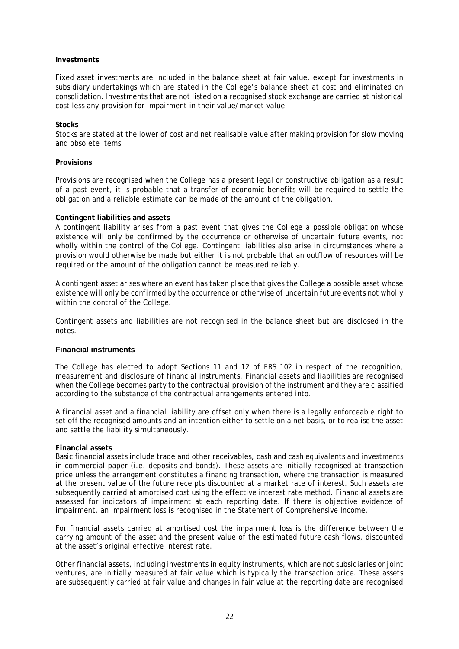### **Investments**

Fixed asset investments are included in the balance sheet at fair value, except for investments in subsidiary undertakings which are stated in the College's balance sheet at cost and eliminated on consolidation. Investments that are not listed on a recognised stock exchange are carried at historical cost less any provision for impairment in their value/market value.

### **Stocks**

Stocks are stated at the lower of cost and net realisable value after making provision for slow moving and obsolete items.

### **Provisions**

Provisions are recognised when the College has a present legal or constructive obligation as a result of a past event, it is probable that a transfer of economic benefits will be required to settle the obligation and a reliable estimate can be made of the amount of the obligation.

### **Contingent liabilities and assets**

A contingent liability arises from a past event that gives the College a possible obligation whose existence will only be confirmed by the occurrence or otherwise of uncertain future events, not wholly within the control of the College. Contingent liabilities also arise in circumstances where a provision would otherwise be made but either it is not probable that an outflow of resources will be required or the amount of the obligation cannot be measured reliably.

A contingent asset arises where an event has taken place that gives the College a possible asset whose existence will only be confirmed by the occurrence or otherwise of uncertain future events not wholly within the control of the College.

Contingent assets and liabilities are not recognised in the balance sheet but are disclosed in the notes.

### **Financial instruments**

The College has elected to adopt Sections 11 and 12 of FRS 102 in respect of the recognition, measurement and disclosure of financial instruments. Financial assets and liabilities are recognised when the College becomes party to the contractual provision of the instrument and they are classified according to the substance of the contractual arrangements entered into.

A financial asset and a financial liability are offset only when there is a legally enforceable right to set off the recognised amounts and an intention either to settle on a net basis, or to realise the asset and settle the liability simultaneously.

### **Financial assets**

Basic financial assets include trade and other receivables, cash and cash equivalents and investments in commercial paper (i.e. deposits and bonds). These assets are initially recognised at transaction price unless the arrangement constitutes a financing transaction, where the transaction is measured at the present value of the future receipts discounted at a market rate of interest. Such assets are subsequently carried at amortised cost using the effective interest rate method. Financial assets are assessed for indicators of impairment at each reporting date. If there is objective evidence of impairment, an impairment loss is recognised in the Statement of Comprehensive Income.

For financial assets carried at amortised cost the impairment loss is the difference between the carrying amount of the asset and the present value of the estimated future cash flows, discounted at the asset's original effective interest rate.

Other financial assets, including investments in equity instruments, which are not subsidiaries or joint ventures, are initially measured at fair value which is typically the transaction price. These assets are subsequently carried at fair value and changes in fair value at the reporting date are recognised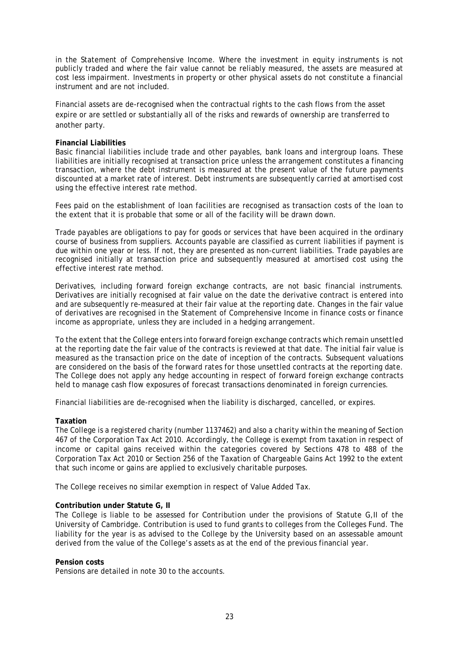in the Statement of Comprehensive Income. Where the investment in equity instruments is not publicly traded and where the fair value cannot be reliably measured, the assets are measured at cost less impairment. Investments in property or other physical assets do not constitute a financial instrument and are not included.

Financial assets are de-recognised when the contractual rights to the cash flows from the asset expire or are settled or substantially all of the risks and rewards of ownership are transferred to another party.

### **Financial Liabilities**

Basic financial liabilities include trade and other payables, bank loans and intergroup loans. These liabilities are initially recognised at transaction price unless the arrangement constitutes a financing transaction, where the debt instrument is measured at the present value of the future payments discounted at a market rate of interest. Debt instruments are subsequently carried at amortised cost using the effective interest rate method.

Fees paid on the establishment of loan facilities are recognised as transaction costs of the loan to the extent that it is probable that some or all of the facility will be drawn down.

Trade payables are obligations to pay for goods or services that have been acquired in the ordinary course of business from suppliers. Accounts payable are classified as current liabilities if payment is due within one year or less. If not, they are presented as non-current liabilities. Trade payables are recognised initially at transaction price and subsequently measured at amortised cost using the effective interest rate method.

Derivatives, including forward foreign exchange contracts, are not basic financial instruments. Derivatives are initially recognised at fair value on the date the derivative contract is entered into and are subsequently re-measured at their fair value at the reporting date. Changes in the fair value of derivatives are recognised in the Statement of Comprehensive Income in finance costs or finance income as appropriate, unless they are included in a hedging arrangement.

To the extent that the College enters into forward foreign exchange contracts which remain unsettled at the reporting date the fair value of the contracts is reviewed at that date. The initial fair value is measured as the transaction price on the date of inception of the contracts. Subsequent valuations are considered on the basis of the forward rates for those unsettled contracts at the reporting date. The College does not apply any hedge accounting in respect of forward foreign exchange contracts held to manage cash flow exposures of forecast transactions denominated in foreign currencies.

Financial liabilities are de-recognised when the liability is discharged, cancelled, or expires.

### **Taxation**

The College is a registered charity (number 1137462) and also a charity within the meaning of Section 467 of the Corporation Tax Act 2010. Accordingly, the College is exempt from taxation in respect of income or capital gains received within the categories covered by Sections 478 to 488 of the Corporation Tax Act 2010 or Section 256 of the Taxation of Chargeable Gains Act 1992 to the extent that such income or gains are applied to exclusively charitable purposes.

The College receives no similar exemption in respect of Value Added Tax.

### **Contribution under Statute G, II**

The College is liable to be assessed for Contribution under the provisions of Statute G,II of the University of Cambridge. Contribution is used to fund grants to colleges from the Colleges Fund. The liability for the year is as advised to the College by the University based on an assessable amount derived from the value of the College's assets as at the end of the previous financial year.

### **Pension costs**

Pensions are detailed in note 30 to the accounts.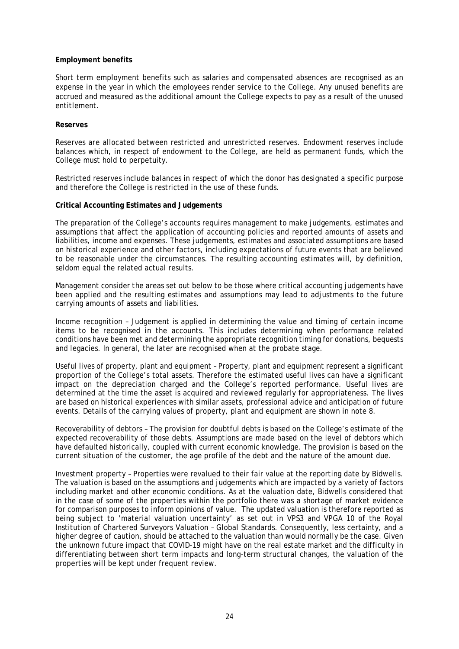### **Employment benefits**

Short term employment benefits such as salaries and compensated absences are recognised as an expense in the year in which the employees render service to the College. Any unused benefits are accrued and measured as the additional amount the College expects to pay as a result of the unused entitlement.

### **Reserves**

Reserves are allocated between restricted and unrestricted reserves. Endowment reserves include balances which, in respect of endowment to the College, are held as permanent funds, which the College must hold to perpetuity.

Restricted reserves include balances in respect of which the donor has designated a specific purpose and therefore the College is restricted in the use of these funds.

### **Critical Accounting Estimates and Judgements**

The preparation of the College's accounts requires management to make judgements, estimates and assumptions that affect the application of accounting policies and reported amounts of assets and liabilities, income and expenses. These judgements, estimates and associated assumptions are based on historical experience and other factors, including expectations of future events that are believed to be reasonable under the circumstances. The resulting accounting estimates will, by definition, seldom equal the related actual results.

Management consider the areas set out below to be those where critical accounting judgements have been applied and the resulting estimates and assumptions may lead to adjustments to the future carrying amounts of assets and liabilities.

Income recognition – Judgement is applied in determining the value and timing of certain income items to be recognised in the accounts. This includes determining when performance related conditions have been met and determining the appropriate recognition timing for donations, bequests and legacies. In general, the later are recognised when at the probate stage.

Useful lives of property, plant and equipment – Property, plant and equipment represent a significant proportion of the College's total assets. Therefore the estimated useful lives can have a significant impact on the depreciation charged and the College's reported performance. Useful lives are determined at the time the asset is acquired and reviewed regularly for appropriateness. The lives are based on historical experiences with similar assets, professional advice and anticipation of future events. Details of the carrying values of property, plant and equipment are shown in note 8.

Recoverability of debtors – The provision for doubtful debts is based on the College's estimate of the expected recoverability of those debts. Assumptions are made based on the level of debtors which have defaulted historically, coupled with current economic knowledge. The provision is based on the current situation of the customer, the age profile of the debt and the nature of the amount due.

Investment property – Properties were revalued to their fair value at the reporting date by Bidwells. The valuation is based on the assumptions and judgements which are impacted by a variety of factors including market and other economic conditions. As at the valuation date, Bidwells considered that in the case of some of the properties within the portfolio there was a shortage of market evidence for comparison purposes to inform opinions of value. The updated valuation is therefore reported as being subject to 'material valuation uncertainty' as set out in VPS3 and VPGA 10 of the Royal Institution of Chartered Surveyors Valuation – Global Standards. Consequently, less certainty, and a higher degree of caution, should be attached to the valuation than would normally be the case. Given the unknown future impact that COVID-19 might have on the real estate market and the difficulty in differentiating between short term impacts and long-term structural changes, the valuation of the properties will be kept under frequent review.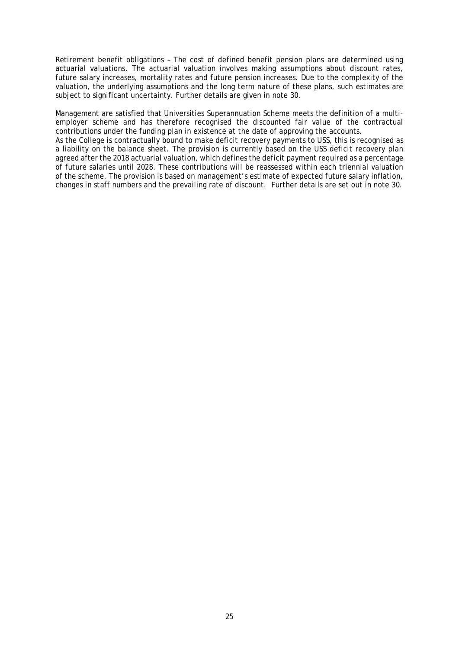Retirement benefit obligations – The cost of defined benefit pension plans are determined using actuarial valuations. The actuarial valuation involves making assumptions about discount rates, future salary increases, mortality rates and future pension increases. Due to the complexity of the valuation, the underlying assumptions and the long term nature of these plans, such estimates are subject to significant uncertainty. Further details are given in note 30.

Management are satisfied that Universities Superannuation Scheme meets the definition of a multiemployer scheme and has therefore recognised the discounted fair value of the contractual contributions under the funding plan in existence at the date of approving the accounts.

As the College is contractually bound to make deficit recovery payments to USS, this is recognised as a liability on the balance sheet. The provision is currently based on the USS deficit recovery plan agreed after the 2018 actuarial valuation, which defines the deficit payment required as a percentage of future salaries until 2028. These contributions will be reassessed within each triennial valuation of the scheme. The provision is based on management's estimate of expected future salary inflation, changes in staff numbers and the prevailing rate of discount. Further details are set out in note 30.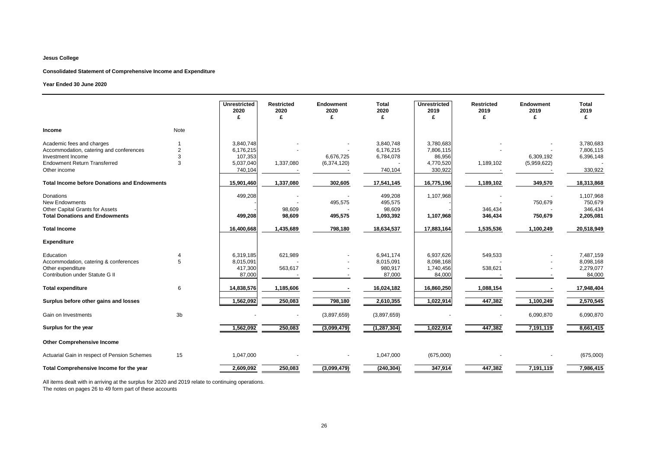#### **Consolidated Statement of Comprehensive Income and Expenditure**

#### **Year Ended 30 June 2020**

|                                                                                                                                                  |                          | <b>Unrestricted</b><br>2020<br>£                          | <b>Restricted</b><br>2020<br>£ | Endowment<br>2020<br>£   | <b>Total</b><br>2020<br>£                      | <b>Unrestricted</b><br>2019<br>£                         | <b>Restricted</b><br>2019<br>£ | <b>Endowment</b><br>2019<br>£ | <b>Total</b><br>2019<br>£                      |
|--------------------------------------------------------------------------------------------------------------------------------------------------|--------------------------|-----------------------------------------------------------|--------------------------------|--------------------------|------------------------------------------------|----------------------------------------------------------|--------------------------------|-------------------------------|------------------------------------------------|
| Income                                                                                                                                           | Note                     |                                                           |                                |                          |                                                |                                                          |                                |                               |                                                |
| Academic fees and charges<br>Accommodation, catering and conferences<br>Investment Income<br><b>Endowment Return Transferred</b><br>Other income | $\overline{2}$<br>3<br>3 | 3,840,748<br>6,176,215<br>107,353<br>5,037,040<br>740,104 | 1,337,080                      | 6,676,725<br>(6,374,120) | 3,840,748<br>6,176,215<br>6,784,078<br>740,104 | 3,780,683<br>7,806,115<br>86,956<br>4,770,520<br>330,922 | 1,189,102                      | 6,309,192<br>(5,959,622)      | 3,780,683<br>7,806,115<br>6,396,148<br>330,922 |
| <b>Total Income before Donations and Endowments</b>                                                                                              |                          | 15,901,460                                                | 1,337,080                      | 302,605                  | 17,541,145                                     | 16,775,196                                               | 1,189,102                      | 349,570                       | 18,313,868                                     |
| <b>Donations</b><br>New Endowments<br>Other Capital Grants for Assets<br><b>Total Donations and Endowments</b>                                   |                          | 499,208<br>499,208                                        | 98,609<br>98,609               | 495,575<br>495,575       | 499,208<br>495,575<br>98,609<br>1,093,392      | 1,107,968<br>1,107,968                                   | 346,434<br>346,434             | 750,679<br>750,679            | 1,107,968<br>750,679<br>346,434<br>2,205,081   |
| <b>Total Income</b>                                                                                                                              |                          | 16,400,668                                                | 1,435,689                      | 798,180                  | 18,634,537                                     | 17,883,164                                               | 1,535,536                      | 1,100,249                     | 20,518,949                                     |
| <b>Expenditure</b>                                                                                                                               |                          |                                                           |                                |                          |                                                |                                                          |                                |                               |                                                |
| Education<br>Accommodation, catering & conferences<br>Other expenditure<br>Contribution under Statute G II                                       | $\overline{4}$<br>5      | 6,319,185<br>8,015,091<br>417,300<br>87,000               | 621,989<br>563,617             |                          | 6,941,174<br>8,015,091<br>980,917<br>87,000    | 6,937,626<br>8,098,168<br>1,740,456<br>84,000            | 549,533<br>538,621             |                               | 7,487,159<br>8,098,168<br>2,279,077<br>84,000  |
| <b>Total expenditure</b>                                                                                                                         | 6                        | 14,838,576                                                | 1,185,606                      |                          | 16,024,182                                     | 16,860,250                                               | 1,088,154                      |                               | 17,948,404                                     |
| Surplus before other gains and losses                                                                                                            |                          | 1,562,092                                                 | 250,083                        | 798,180                  | 2,610,355                                      | 1,022,914                                                | 447,382                        | 1,100,249                     | 2,570,545                                      |
| Gain on Investments                                                                                                                              | 3 <sub>b</sub>           |                                                           |                                | (3,897,659)              | (3,897,659)                                    |                                                          |                                | 6,090,870                     | 6,090,870                                      |
| Surplus for the year                                                                                                                             |                          | 1,562,092                                                 | 250,083                        | (3,099,479)              | (1, 287, 304)                                  | 1,022,914                                                | 447,382                        | 7,191,119                     | 8,661,415                                      |
| <b>Other Comprehensive Income</b>                                                                                                                |                          |                                                           |                                |                          |                                                |                                                          |                                |                               |                                                |
| Actuarial Gain in respect of Pension Schemes                                                                                                     | 15                       | 1,047,000                                                 |                                |                          | 1,047,000                                      | (675,000)                                                |                                |                               | (675,000)                                      |
| Total Comprehensive Income for the year                                                                                                          |                          | 2,609,092                                                 | 250,083                        | (3,099,479)              | (240, 304)                                     | 347,914                                                  | 447,382                        | 7,191,119                     | 7,986,415                                      |

All items dealt with in arriving at the surplus for 2020 and 2019 relate to continuing operations. The notes on pages 26 to 49 form part of these accounts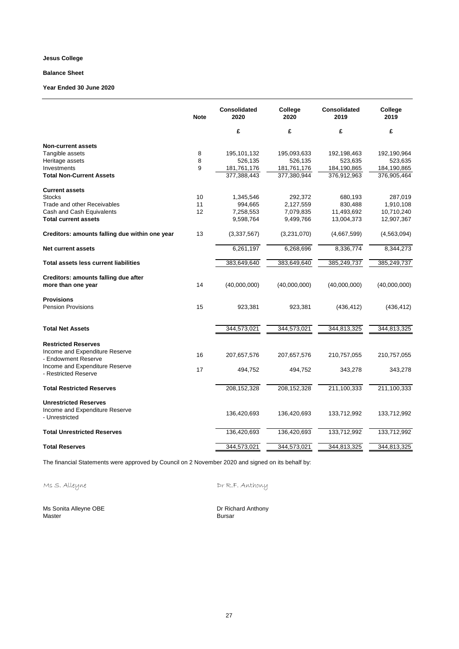# **Balance Sheet**

#### **Year Ended 30 June 2020**

|                                                              | <b>Note</b> | <b>Consolidated</b><br>2020 | College<br>2020 | <b>Consolidated</b><br>2019 | College<br>2019 |
|--------------------------------------------------------------|-------------|-----------------------------|-----------------|-----------------------------|-----------------|
|                                                              |             | £                           | £               | £                           | £               |
| <b>Non-current assets</b>                                    |             |                             |                 |                             |                 |
| Tangible assets                                              | 8           | 195,101,132                 | 195,093,633     | 192,198,463                 | 192,190,964     |
| Heritage assets                                              | 8           | 526,135                     | 526,135         | 523,635                     | 523,635         |
| Investments                                                  | 9           | 181,761,176                 | 181,761,176     | 184,190,865                 | 184,190,865     |
| <b>Total Non-Current Assets</b>                              |             | 377,388,443                 | 377,380,944     | 376,912,963                 | 376,905,464     |
| <b>Current assets</b>                                        |             |                             |                 |                             |                 |
| <b>Stocks</b>                                                | 10          | 1,345,546                   | 292,372         | 680,193                     | 287,019         |
| Trade and other Receivables                                  | 11          | 994,665                     | 2,127,559       | 830,488                     | 1,910,108       |
| Cash and Cash Equivalents                                    | 12          | 7,258,553                   | 7,079,835       | 11,493,692                  | 10,710,240      |
| <b>Total current assets</b>                                  |             | 9,598,764                   | 9,499,766       | 13,004,373                  | 12,907,367      |
| Creditors: amounts falling due within one year               | 13          | (3,337,567)                 | (3,231,070)     | (4,667,599)                 | (4,563,094)     |
| <b>Net current assets</b>                                    |             | 6,261,197                   | 6,268,696       | 8,336,774                   | 8,344,273       |
| <b>Total assets less current liabilities</b>                 |             | 383,649,640                 | 383,649,640     | 385,249,737                 | 385,249,737     |
| Creditors: amounts falling due after                         |             |                             |                 |                             |                 |
| more than one year                                           | 14          | (40,000,000)                | (40,000,000)    | (40,000,000)                | (40,000,000)    |
| <b>Provisions</b>                                            |             |                             |                 |                             |                 |
| <b>Pension Provisions</b>                                    | 15          | 923,381                     | 923,381         | (436, 412)                  | (436, 412)      |
| <b>Total Net Assets</b>                                      |             | 344,573,021                 | 344,573,021     | 344,813,325                 | 344,813,325     |
|                                                              |             |                             |                 |                             |                 |
| <b>Restricted Reserves</b><br>Income and Expenditure Reserve |             |                             |                 |                             |                 |
| - Endowment Reserve                                          | 16          | 207,657,576                 | 207,657,576     | 210,757,055                 | 210,757,055     |
| Income and Expenditure Reserve<br>- Restricted Reserve       | 17          | 494,752                     | 494,752         | 343,278                     | 343,278         |
| <b>Total Restricted Reserves</b>                             |             | 208,152,328                 | 208,152,328     | 211,100,333                 | 211,100,333     |
| <b>Unrestricted Reserves</b>                                 |             |                             |                 |                             |                 |
| Income and Expenditure Reserve<br>- Unrestricted             |             | 136,420,693                 | 136,420,693     | 133,712,992                 | 133,712,992     |
| <b>Total Unrestricted Reserves</b>                           |             | 136,420,693                 | 136,420,693     | 133,712,992                 | 133,712,992     |
| <b>Total Reserves</b>                                        |             | 344,573,021                 | 344,573,021     | 344,813,325                 | 344,813,325     |

The financial Statements were approved by Council on 2 November 2020 and signed on its behalf by:

Ms S. Alleyne Communication Dr R.F. Anthony

Ms Sonita Alleyne OBE Dr Richard Anthony Master **Bursar** Bursar **Bursar**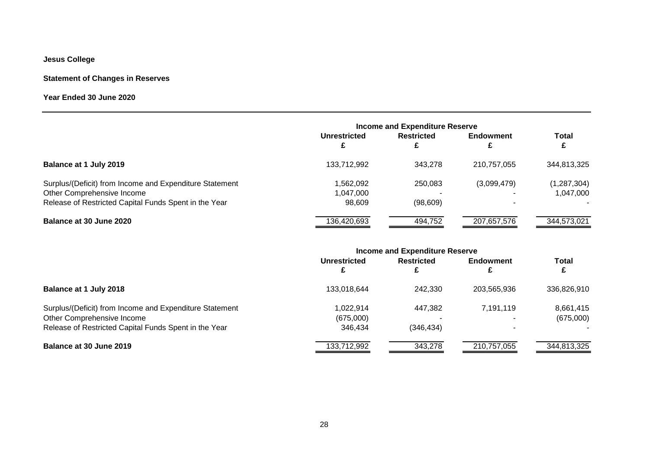# **Statement of Changes in Reserves**

**Year Ended 30 June 2020**

|                                                                                                                                                | <b>Income and Expenditure Reserve</b> |                      |                  |                            |
|------------------------------------------------------------------------------------------------------------------------------------------------|---------------------------------------|----------------------|------------------|----------------------------|
|                                                                                                                                                | Unrestricted                          | <b>Restricted</b>    | <b>Endowment</b> | <b>Total</b>               |
| Balance at 1 July 2019                                                                                                                         | 133,712,992                           | 343.278              | 210,757,055      | 344,813,325                |
| Surplus/(Deficit) from Income and Expenditure Statement<br>Other Comprehensive Income<br>Release of Restricted Capital Funds Spent in the Year | ,562,092<br>1,047,000<br>98.609       | 250,083<br>(98, 609) | (3,099,479)      | (1, 287, 304)<br>1,047,000 |
| Balance at 30 June 2020                                                                                                                        | 136,420,693                           | 494,752              | 207,657,576      | 344,573,021                |

|                                                                                                                                                | <b>Income and Expenditure Reserve</b> |                        |                       |                        |
|------------------------------------------------------------------------------------------------------------------------------------------------|---------------------------------------|------------------------|-----------------------|------------------------|
|                                                                                                                                                | Unrestricted<br>£                     | <b>Restricted</b><br>£ | <b>Endowment</b><br>£ | <b>Total</b>           |
| Balance at 1 July 2018                                                                                                                         | 133.018.644                           | 242,330                | 203.565.936           | 336,826,910            |
| Surplus/(Deficit) from Income and Expenditure Statement<br>Other Comprehensive Income<br>Release of Restricted Capital Funds Spent in the Year | 1.022.914<br>(675,000)<br>346.434     | 447,382<br>(346,434)   | 7.191.119             | 8,661,415<br>(675,000) |
| Balance at 30 June 2019                                                                                                                        | 133,712,992                           | 343,278                | 210,757,055           | 344,813,325            |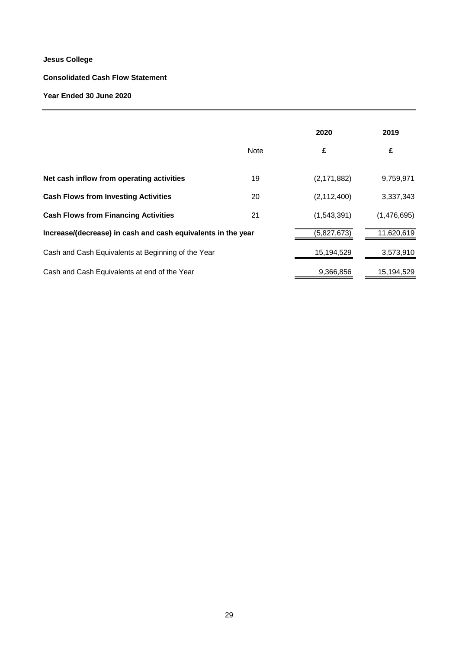# **Consolidated Cash Flow Statement**

# **Year Ended 30 June 2020**

|                                                              |             | 2020          | 2019        |
|--------------------------------------------------------------|-------------|---------------|-------------|
|                                                              | <b>Note</b> | £             | £           |
| Net cash inflow from operating activities                    | 19          | (2, 171, 882) | 9,759,971   |
| <b>Cash Flows from Investing Activities</b>                  | 20          | (2, 112, 400) | 3,337,343   |
| <b>Cash Flows from Financing Activities</b>                  | 21          | (1,543,391)   | (1,476,695) |
| Increase/(decrease) in cash and cash equivalents in the year |             | (5,827,673)   | 11,620,619  |
| Cash and Cash Equivalents at Beginning of the Year           |             | 15,194,529    | 3,573,910   |
| Cash and Cash Equivalents at end of the Year                 |             | 9,366,856     | 15,194,529  |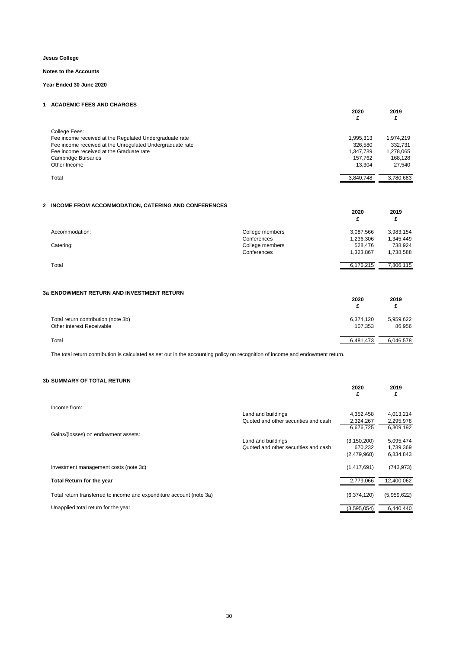#### **Notes to the Accounts**

**Year Ended 30 June 2020**

| 1 ACADEMIC FEES AND CHARGES                               | 2020<br>£ | 2019      |
|-----------------------------------------------------------|-----------|-----------|
| College Fees:                                             |           |           |
| Fee income received at the Regulated Undergraduate rate   | 1,995,313 | 1,974,219 |
| Fee income received at the Unregulated Undergraduate rate | 326,580   | 332.731   |
| Fee income received at the Graduate rate                  | 1,347,789 | 1,278,065 |
| <b>Cambridge Bursaries</b>                                | 157.762   | 168.128   |
| Other Income                                              | 13.304    | 27,540    |
| Total                                                     | 3,840,748 | 3,780,683 |

#### **2 INCOME FROM ACCOMMODATION, CATERING AND CONFERENCES**

|                |                 | 2020      | 2019      |
|----------------|-----------------|-----------|-----------|
| Accommodation: | College members | 3,087,566 | 3,983,154 |
|                | Conferences     | 1,236,306 | 1,345,449 |
| Catering:      | College members | 528.476   | 738.924   |
|                | Conferences     | 1,323,867 | 1,738,588 |
| Total          |                 | 6,176,215 | 7,806,115 |

#### **3a ENDOWMENT RETURN AND INVESTMENT RETURN**

|                                                                  | 2020<br>c            | 2019                |
|------------------------------------------------------------------|----------------------|---------------------|
| Total return contribution (note 3b)<br>Other interest Receivable | 6,374,120<br>107.353 | 5,959,622<br>86,956 |
| Total                                                            | 6,481,473            | 6,046,578           |

The total return contribution is calculated as set out in the accounting policy on recognition of income and endowment return.

#### **3b SUMMARY OF TOTAL RETURN**

| <b>D SUMMART OF TUTAL RETURN</b>                                     |                                      | 2020<br>£     | 2019<br>£   |
|----------------------------------------------------------------------|--------------------------------------|---------------|-------------|
| Income from:                                                         |                                      |               |             |
|                                                                      | Land and buildings                   | 4,352,458     | 4,013,214   |
|                                                                      | Quoted and other securities and cash | 2,324,267     | 2,295,978   |
|                                                                      |                                      | 6,676,725     | 6,309,192   |
| Gains/(losses) on endowment assets:                                  |                                      |               |             |
|                                                                      | Land and buildings                   | (3, 150, 200) | 5,095,474   |
|                                                                      | Quoted and other securities and cash | 670,232       | 1,739,369   |
|                                                                      |                                      | (2,479,968)   | 6,834,843   |
| Investment management costs (note 3c)                                |                                      | (1,417,691)   | (743, 973)  |
|                                                                      |                                      |               |             |
| Total Return for the year                                            |                                      | 2,779,066     | 12,400,062  |
| Total return transferred to income and expenditure account (note 3a) |                                      | (6,374,120)   | (5,959,622) |
| Unapplied total return for the year                                  |                                      | (3,595,054)   | 6,440,440   |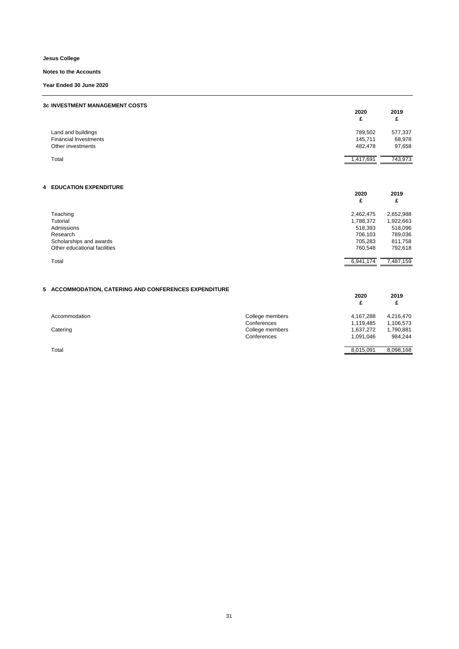**Notes to the Accounts**

**Year Ended 30 June 2020**

| <b>3c INVESTMENT MANAGEMENT COSTS</b>              | 2020<br>£          | 2019<br>£         |
|----------------------------------------------------|--------------------|-------------------|
| Land and buildings<br><b>Financial Investments</b> | 789,502<br>145,711 | 577,337<br>68,978 |
| Other investments                                  | 482,478            | 97,658            |
| Total                                              | 1,417,691          | 743,973           |
| <b>4 EDUCATION EXPENDITURE</b>                     | 2020<br>£          | 2019<br>£         |

| Teaching                     | 2,462,475 | 2,652,988 |
|------------------------------|-----------|-----------|
| Tutorial                     | 1,788,372 | 1,922,663 |
| Admissions                   | 518.393   | 518.096   |
| Research                     | 706.103   | 789,036   |
| Scholarships and awards      | 705.283   | 811,758   |
| Other educational facilities | 760.548   | 792.618   |
| Total                        | 6.941.174 | 7.487.159 |
|                              |           |           |

#### **5 ACCOMMODATION, CATERING AND CONFERENCES EXPENDITURE**

|               |                 | 2020<br>£ | 2019<br>£ |
|---------------|-----------------|-----------|-----------|
| Accommodation | College members | 4.167.288 | 4,216,470 |
|               | Conferences     | 1,119,485 | 1,106,573 |
| Catering      | College members | 1,637,272 | 1,790,881 |
|               | Conferences     | 1.091.046 | 984.244   |
| Total         |                 | 8.015.091 | 8.098.168 |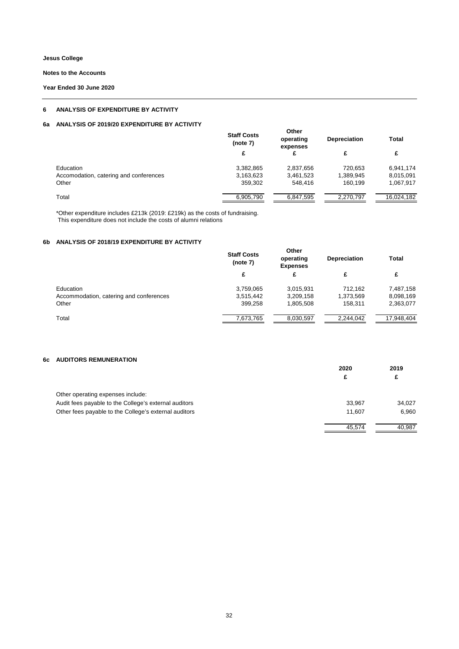**Notes to the Accounts**

**Year Ended 30 June 2020**

#### **6 ANALYSIS OF EXPENDITURE BY ACTIVITY**

### **6a ANALYSIS OF 2019/20 EXPENDITURE BY ACTIVITY**

| <b>Staff Costs</b><br>(note 7) | Other<br>operating<br>expenses | <b>Depreciation</b> | Total      |
|--------------------------------|--------------------------------|---------------------|------------|
| £                              | £                              | £                   | £          |
| 3,382,865                      | 2,837,656                      | 720.653             | 6,941,174  |
| 3,163,623                      | 3,461,523                      | 1,389,945           | 8,015,091  |
| 359,302                        | 548.416                        | 160.199             | 1,067,917  |
| 6,905,790                      | 6.847.595                      | 2.270.797           | 16.024.182 |
|                                |                                |                     |            |

\*Other expenditure includes £213k (2019: £219k) as the costs of fundraising. This expenditure does not include the costs of alumni relations

### **6b ANALYSIS OF 2018/19 EXPENDITURE BY ACTIVITY**

|                                         | <b>Staff Costs</b><br>(note 7) | Other<br>operating<br><b>Expenses</b> | <b>Depreciation</b> | <b>Total</b> |
|-----------------------------------------|--------------------------------|---------------------------------------|---------------------|--------------|
|                                         | £                              | £                                     | £                   | £            |
| Education                               | 3,759,065                      | 3,015,931                             | 712.162             | 7,487,158    |
| Accommodation, catering and conferences | 3,515,442                      | 3,209,158                             | 1,373,569           | 8,098,169    |
| Other                                   | 399.258                        | 1,805,508                             | 158.311             | 2,363,077    |
| Total                                   | 7,673,765                      | 8,030,597                             | 2,244,042           | 17,948,404   |

#### **6c AUDITORS REMUNERATION**

|                                                       | 2020   | 2019   |
|-------------------------------------------------------|--------|--------|
|                                                       | £      | £      |
| Other operating expenses include:                     |        |        |
| Audit fees payable to the College's external auditors | 33.967 | 34.027 |
| Other fees payable to the College's external auditors | 11.607 | 6,960  |
|                                                       | 45.574 | 40.987 |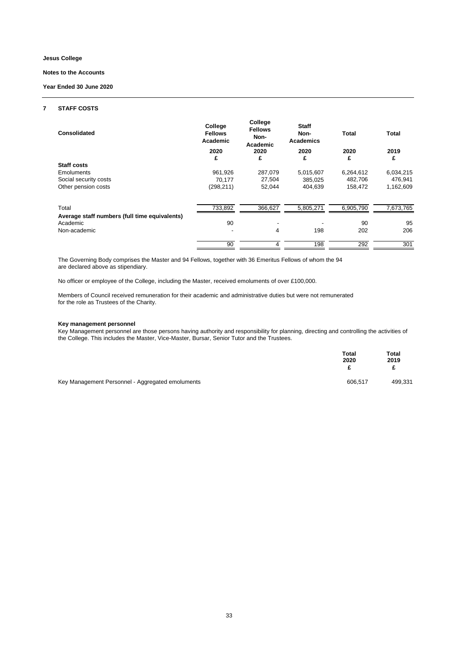#### **Notes to the Accounts**

**Year Ended 30 June 2020**

#### **7 STAFF COSTS**

| Consolidated                                              | College<br><b>Fellows</b><br>Academic | College<br><b>Fellows</b><br>Non-<br>Academic | <b>Staff</b><br>Non-<br><b>Academics</b> | <b>Total</b> | Total     |
|-----------------------------------------------------------|---------------------------------------|-----------------------------------------------|------------------------------------------|--------------|-----------|
|                                                           | 2020                                  | 2020                                          | 2020                                     | 2020         | 2019      |
|                                                           | £                                     | £                                             | £                                        | £            | £         |
| Staff costs                                               |                                       |                                               |                                          |              |           |
| Emoluments                                                | 961.926                               | 287,079                                       | 5,015,607                                | 6,264,612    | 6,034,215 |
| Social security costs                                     | 70,177                                | 27,504                                        | 385,025                                  | 482,706      | 476,941   |
| Other pension costs                                       | (298, 211)                            | 52,044                                        | 404,639                                  | 158,472      | 1,162,609 |
| Total                                                     | 733,892                               | 366,627                                       | 5,805,271                                | 6,905,790    | 7,673,765 |
| Average staff numbers (full time equivalents)<br>Academic | 90                                    | ٠                                             |                                          | 90           | 95        |
| Non-academic                                              |                                       | 4                                             | 198                                      | 202          | 206       |
|                                                           | 90                                    | 4                                             | 198                                      | 292          | 301       |

The Governing Body comprises the Master and 94 Fellows, together with 36 Emeritus Fellows of whom the 94 are declared above as stipendiary.

No officer or employee of the College, including the Master, received emoluments of over £100,000.

Members of Council received remuneration for their academic and administrative duties but were not remunerated for the role as Trustees of the Charity.

#### **Key management personnel**

Key Management personnel are those persons having authority and responsibility for planning, directing and controlling the activities of the College. This includes the Master, Vice-Master, Bursar, Senior Tutor and the Trustees.

|                                                  | <b>Total</b><br>2020<br>£ | Total<br>2019 |
|--------------------------------------------------|---------------------------|---------------|
| Key Management Personnel - Aggregated emoluments | 606.517                   | 499,331       |

33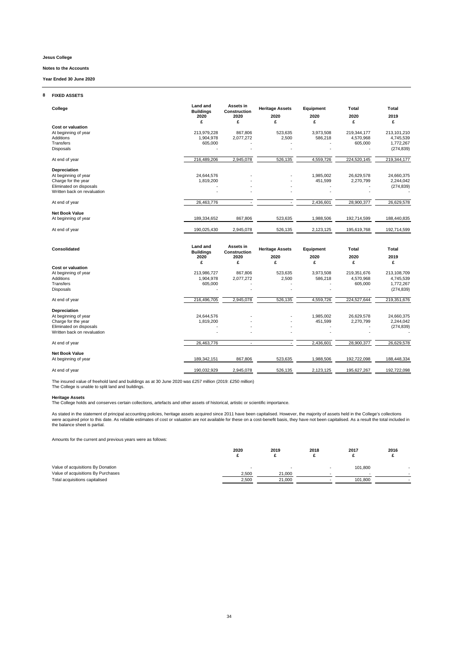#### **Notes to the Accounts**

**Year Ended 30 June 2020**

#### **8 FIXED ASSETS**

| College                                                                                                               | <b>Land and</b><br><b>Buildings</b><br>2020<br>£ | Assets in<br>Construction<br>2020<br>£ | <b>Heritage Assets</b><br>2020<br>£ | Equipment<br>2020<br>£ | Total<br>2020<br>£                  | Total<br>2019<br>£                                  |
|-----------------------------------------------------------------------------------------------------------------------|--------------------------------------------------|----------------------------------------|-------------------------------------|------------------------|-------------------------------------|-----------------------------------------------------|
| <b>Cost or valuation</b><br>At beginning of year<br>Additions<br>Transfers<br><b>Disposals</b>                        | 213,979,228<br>1,904,978<br>605,000              | 867,806<br>2,077,272                   | 523,635<br>2,500                    | 3,973,508<br>586,218   | 219,344,177<br>4,570,968<br>605,000 | 213,101,210<br>4,745,539<br>1,772,267<br>(274, 839) |
| At end of year                                                                                                        | 216,489,206                                      | 2,945,078                              | 526,135                             | 4,559,726              | 224,520,145                         | 219,344,177                                         |
| Depreciation<br>At beginning of year<br>Charge for the year<br>Eliminated on disposals<br>Written back on revaluation | 24,644,576<br>1,819,200                          |                                        |                                     | 1,985,002<br>451,599   | 26,629,578<br>2,270,799             | 24,660,375<br>2,244,042<br>(274, 839)               |
| At end of year                                                                                                        | 26,463,776                                       |                                        |                                     | 2,436,601              | 28,900,377                          | 26,629,578                                          |
| <b>Net Book Value</b><br>At beginning of year                                                                         | 189,334,652                                      | 867,806                                | 523,635                             | 1,988,506              | 192,714,599                         | 188,440,835                                         |
| At end of year                                                                                                        | 190,025,430                                      | 2,945,078                              | 526,135                             | 2,123,125              | 195,619,768                         | 192,714,599                                         |
| Consolidated                                                                                                          | <b>Land and</b><br><b>Buildings</b><br>2020<br>£ | Assets in<br>Construction<br>2020<br>£ | <b>Heritage Assets</b><br>2020<br>£ | Equipment<br>2020<br>£ | Total<br>2020<br>£                  | Total<br>2019<br>£                                  |
| <b>Cost or valuation</b><br>At beginning of year<br>Additions<br>Transfers<br>Disposals                               | 213,986,727<br>1,904,978<br>605,000              | 867,806<br>2,077,272                   | 523,635<br>2,500                    | 3,973,508<br>586,218   | 219,351,676<br>4,570,968<br>605,000 | 213,108,709<br>4,745,539<br>1,772,267<br>(274, 839) |
| At end of year                                                                                                        | 216,496,705                                      | 2,945,078                              | 526,135                             | 4,559,726              | 224,527,644                         | 219,351,676                                         |
| Depreciation<br>At beginning of year<br>Charge for the year<br>Eliminated on disposals<br>Written back on revaluation | 24,644,576<br>1,819,200                          |                                        |                                     | 1,985,002<br>451,599   | 26,629,578<br>2,270,799             | 24,660,375<br>2,244,042<br>(274, 839)               |
| At end of year                                                                                                        | 26,463,776                                       | $\sim$                                 |                                     | 2,436,601              | 28,900,377                          | 26,629,578                                          |
| <b>Net Book Value</b><br>At beginning of year                                                                         | 189,342,151                                      | 867,806                                | 523,635                             | 1,988,506              | 192,722,098                         | 188,448,334                                         |
| At end of year                                                                                                        | 190,032,929                                      | 2,945,078                              | 526,135                             | 2,123,125              | 195,627,267                         | 192,722,098                                         |

The insured value of freehold land and buildings as at 30 June 2020 was £257 million (2019: £250 million) The College is unable to split land and buildings.

**Heritage Assets**<br>The College holds and conserves certain collections, artefacts and other assets of historical, artistic or scientific importance.

As stated in the statement of principal accounting policies, heritage assets acquired since 2011 have been capitalised. However, the majority of assets held in the College's collections<br>were acquired prior to this date. As

Amounts for the current and previous years were as follows:

|                                    | 2020  | 2019   | 2018 | 2017    | 2016 |
|------------------------------------|-------|--------|------|---------|------|
| Value of acquisitions By Donation  | -     |        |      | 101,800 |      |
| Value of acquisitions By Purchases | 2.500 | 21.000 |      |         |      |
| Total acquisitions capitalised     | 2,500 | 21,000 |      | 101,800 |      |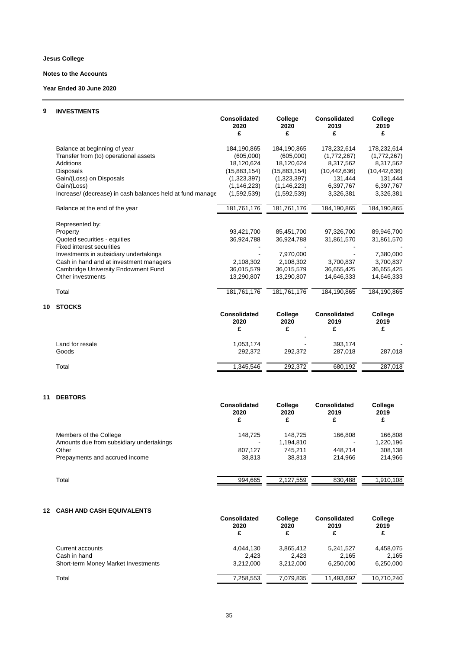#### **Notes to the Accounts**

**Year Ended 30 June 2020**

### **9 INVESTMENTS**

|                                                           | <b>Consolidated</b><br>2020<br>£ | College<br>2020<br>£ | <b>Consolidated</b><br>2019<br>£ | College<br>2019<br>£ |
|-----------------------------------------------------------|----------------------------------|----------------------|----------------------------------|----------------------|
| Balance at beginning of year                              | 184,190,865                      | 184,190,865          | 178,232,614                      | 178,232,614          |
| Transfer from (to) operational assets                     | (605,000)                        | (605,000)            | (1,772,267)                      | (1,772,267)          |
| Additions                                                 | 18.120.624                       | 18.120.624           | 8,317,562                        | 8,317,562            |
| Disposals                                                 | (15,883,154)                     | (15,883,154)         | (10, 442, 636)                   | (10, 442, 636)       |
| Gain/(Loss) on Disposals                                  | (1,323,397)                      | (1,323,397)          | 131,444                          | 131,444              |
| Gain/(Loss)                                               | (1, 146, 223)                    | (1, 146, 223)        | 6,397,767                        | 6,397,767            |
| Increase/ (decrease) in cash balances held at fund manage | (1,592,539)                      | (1,592,539)          | 3,326,381                        | 3,326,381            |
| Balance at the end of the year                            | 181,761,176                      | 181,761,176          | 184,190,865                      | 184,190,865          |
| Represented by:                                           |                                  |                      |                                  |                      |
| Property                                                  | 93,421,700                       | 85,451,700           | 97,326,700                       | 89,946,700           |
| Quoted securities - equities                              | 36,924,788                       | 36,924,788           | 31,861,570                       | 31,861,570           |
| <b>Fixed interest securities</b>                          |                                  |                      |                                  |                      |
| Investments in subsidiary undertakings                    |                                  | 7,970,000            |                                  | 7,380,000            |
| Cash in hand and at investment managers                   | 2,108,302                        | 2.108.302            | 3.700.837                        | 3,700,837            |
| Cambridge University Endowment Fund                       | 36,015,579                       | 36,015,579           | 36,655,425                       | 36,655,425           |
| Other investments                                         | 13,290,807                       | 13,290,807           | 14,646,333                       | 14,646,333           |
| Total                                                     | 181,761,176                      | 181,761,176          | 184,190,865                      | 184,190,865          |
| <b>STOCKS</b>                                             |                                  |                      |                                  |                      |
|                                                           | <b>Consolidated</b><br>2020      | College<br>2020      | <b>Consolidated</b><br>2019      | College<br>2019      |

| 1,053,174 |         | 393,174 |         |
|-----------|---------|---------|---------|
| 292.372   | 292.372 | 287,018 | 287,018 |
| 1,345,546 | 292.372 | 680,192 | 287,018 |
|           |         | -       |         |

### **11 DEBTORS**

**10 STOCKS**

|                                          | <b>Consolidated</b><br>2020 | College<br>2020 | <b>Consolidated</b><br>2019 | College<br>2019 |
|------------------------------------------|-----------------------------|-----------------|-----------------------------|-----------------|
|                                          | £                           | £               | £                           | £               |
| Members of the College                   | 148.725                     | 148.725         | 166.808                     | 166.808         |
| Amounts due from subsidiary undertakings |                             | 1,194,810       |                             | 1,220,196       |
| Other                                    | 807.127                     | 745.211         | 448.714                     | 308,138         |
| Prepayments and accrued income           | 38.813                      | 38.813          | 214.966                     | 214.966         |
| Total                                    | 994.665                     | 2,127,559       | 830.488                     | 1.910.108       |
|                                          |                             |                 |                             |                 |

#### **12 CASH AND CASH EQUIVALENTS**

|                                            | <b>Consolidated</b><br>2020<br>£ | College<br>2020<br>£ | <b>Consolidated</b><br>2019<br>£ | College<br>2019<br>£ |
|--------------------------------------------|----------------------------------|----------------------|----------------------------------|----------------------|
| Current accounts                           | 4.044.130                        | 3,865,412            | 5.241.527                        | 4,458,075            |
| Cash in hand                               | 2.423                            | 2.423                | 2.165                            | 2.165                |
| <b>Short-term Money Market Investments</b> | 3.212.000                        | 3.212.000            | 6.250.000                        | 6,250,000            |
| Total                                      | 7.258.553                        | 7.079.835            | 11.493.692                       | 10.710.240           |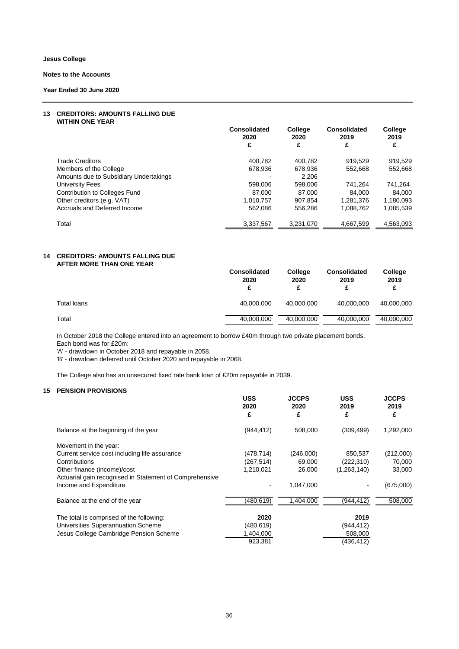### **Notes to the Accounts**

**Year Ended 30 June 2020**

#### **13 CREDITORS: AMOUNTS FALLING DUE WITHIN ONE YEAR**

|                                        | Consolidated<br>2020 | College<br>2020 | <b>Consolidated</b><br>2019 | College<br>2019 |
|----------------------------------------|----------------------|-----------------|-----------------------------|-----------------|
|                                        | £                    | £               | £                           | £               |
| <b>Trade Creditors</b>                 | 400.782              | 400.782         | 919.529                     | 919.529         |
| Members of the College                 | 678.936              | 678,936         | 552.668                     | 552,668         |
| Amounts due to Subsidiary Undertakings |                      | 2.206           |                             |                 |
| University Fees                        | 598,006              | 598,006         | 741.264                     | 741,264         |
| Contribution to Colleges Fund          | 87.000               | 87.000          | 84,000                      | 84.000          |
| Other creditors (e.g. VAT)             | 1,010,757            | 907.854         | 1,281,376                   | 1,180,093       |
| Accruals and Deferred Income           | 562.086              | 556,286         | 1,088,762                   | 1,085,539       |
| Total                                  | 3,337,567            | 3,231,070       | 4,667,599                   | 4,563,093       |

#### **14 CREDITORS: AMOUNTS FALLING DUE AFTER MORE THAN ONE YEAR**

|             | <b>Consolidated</b><br>2020<br>£ | College<br>2020 | <b>Consolidated</b><br>2019 | College<br>2019 |
|-------------|----------------------------------|-----------------|-----------------------------|-----------------|
| Total loans | 40,000,000                       | 40.000.000      | 40,000,000                  | 40,000,000      |
| Total       | 40,000,000                       | 40,000,000      | 40,000,000                  | 40,000,000      |

In October 2018 the College entered into an agreement to borrow £40m through two private placement bonds. Each bond was for £20m:

'A' - drawdown in October 2018 and repayable in 2058.

'B' - drawdown deferred until October 2020 and repayable in 2068.

The College also has an unsecured fixed rate bank loan of £20m repayable in 2039.

### **15 PENSION PROVISIONS**

|                                                         | <b>USS</b><br>2020<br>£ | <b>JCCPS</b><br>2020<br>£ | <b>USS</b><br>2019<br>£ | <b>JCCPS</b><br>2019<br>£ |
|---------------------------------------------------------|-------------------------|---------------------------|-------------------------|---------------------------|
| Balance at the beginning of the year                    | (944, 412)              | 508,000                   | (309, 499)              | 1,292,000                 |
| Movement in the year:                                   |                         |                           |                         |                           |
| Current service cost including life assurance           | (478,714)               | (246,000)                 | 850,537                 | (212,000)                 |
| Contributions                                           | (267,514)               | 69,000                    | (222, 310)              | 70,000                    |
| Other finance (income)/cost                             | 1,210,021               | 26,000                    | (1,263,140)             | 33,000                    |
| Actuarial gain recognised in Statement of Comprehensive |                         |                           |                         |                           |
| Income and Expenditure                                  |                         | 1,047,000                 |                         | (675,000)                 |
| Balance at the end of the year                          | (480,619)               | 1,404,000                 | (944,412)               | 508,000                   |
| The total is comprised of the following:                | 2020                    |                           | 2019                    |                           |
| Universities Superannuation Scheme                      | (480,619)               |                           | (944,412)               |                           |
| Jesus College Cambridge Pension Scheme                  | 1,404,000               |                           | 508,000                 |                           |
|                                                         | 923,381                 |                           | (436, 412)              |                           |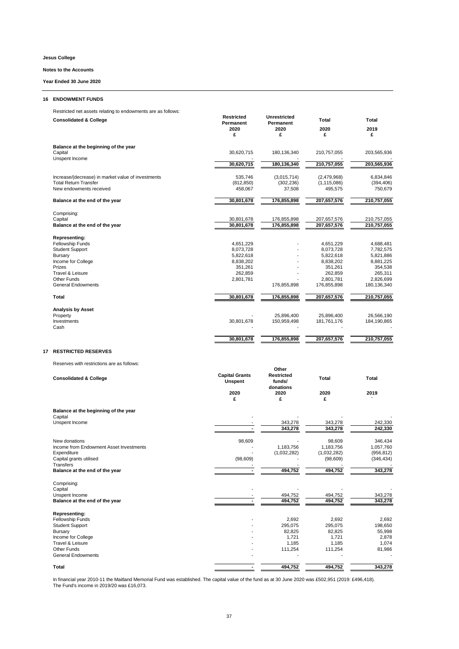#### **Notes to the Accounts**

**Year Ended 30 June 2020**

#### **16 ENDOWMENT FUNDS**

Restricted net assets relating to endowments are as follows:

|    | <b>Consolidated &amp; College</b>                        | Restricted<br>Permanent<br>2020<br>£ | Unrestricted<br>Permanent<br>2020<br>£ | <b>Total</b><br>2020<br>£ | Total<br>2019<br>£ |
|----|----------------------------------------------------------|--------------------------------------|----------------------------------------|---------------------------|--------------------|
|    | Balance at the beginning of the year                     |                                      |                                        |                           |                    |
|    | Capital                                                  | 30,620,715                           | 180,136,340                            | 210,757,055               | 203,565,936        |
|    | Unspent Income                                           | 30,620,715                           | 180,136,340                            | 210,757,055               | 203,565,936        |
|    |                                                          |                                      |                                        |                           |                    |
|    | Increase/(decrease) in market value of investments       | 535,746                              | (3,015,714)                            | (2,479,968)               | 6,834,846          |
|    | <b>Total Return Transfer</b><br>New endowments received  | (812, 850)                           | (302, 236)                             | (1, 115, 086)             | (394, 406)         |
|    |                                                          | 458,067                              | 37,508                                 | 495,575                   | 750,679            |
|    | Balance at the end of the year                           | 30,801,678                           | 176,855,898                            | 207,657,576               | 210,757,055        |
|    | Comprising:                                              |                                      |                                        |                           |                    |
|    | Capital                                                  | 30,801,678                           | 176,855,898                            | 207,657,576               | 210,757,055        |
|    | Balance at the end of the year                           | 30,801,678                           | 176,855,898                            | 207,657,576               | 210,757,055        |
|    | Representing:                                            |                                      |                                        |                           |                    |
|    | Fellowship Funds                                         | 4,651,229                            |                                        | 4,651,229                 | 4,688,481          |
|    | <b>Student Support</b>                                   | 8,073,728                            |                                        | 8,073,728                 | 7,782,575          |
|    | Bursary                                                  | 5,822,618                            |                                        | 5,822,618                 | 5,821,886          |
|    | Income for College                                       | 8,838,202                            |                                        | 8,838,202                 | 8,881,225          |
|    | Prizes                                                   | 351,261                              |                                        | 351,261                   | 354,538            |
|    | Travel & Leisure                                         | 262,859                              |                                        | 262,859                   | 265,311            |
|    | Other Funds                                              | 2,801,781                            |                                        | 2,801,781                 | 2,826,699          |
|    | <b>General Endowments</b>                                |                                      | 176,855,898                            | 176,855,898               | 180,136,340        |
|    | Total                                                    | 30,801,678                           | 176,855,898                            | 207,657,576               | 210,757,055        |
|    | <b>Analysis by Asset</b>                                 |                                      |                                        |                           |                    |
|    | Property                                                 |                                      | 25,896,400                             | 25,896,400                | 26,566,190         |
|    | Investments                                              | 30,801,678                           | 150,959,498                            | 181,761,176               | 184,190,865        |
|    | Cash                                                     |                                      |                                        |                           |                    |
|    |                                                          | 30,801,678                           | 176,855,898                            | 207,657,576               | 210,757,055        |
| 17 | <b>RESTRICTED RESERVES</b>                               |                                      |                                        |                           |                    |
|    | Reserves with restrictions are as follows:               |                                      |                                        |                           |                    |
|    |                                                          | <b>Capital Grants</b>                | Other<br><b>Restricted</b>             |                           |                    |
|    | <b>Consolidated &amp; College</b>                        | <b>Unspent</b>                       | funds/                                 | Total                     | Total              |
|    |                                                          |                                      | donations                              |                           |                    |
|    |                                                          | 2020<br>£                            | 2020<br>£                              | 2020<br>£                 | 2019               |
|    |                                                          |                                      |                                        |                           |                    |
|    | Balance at the beginning of the year<br>Capital          |                                      |                                        |                           |                    |
|    | Unspent Income                                           |                                      | 343,278                                | 343,278                   | 242,330            |
|    |                                                          | $\blacksquare$                       | 343,278                                | 343,278                   | 242,330            |
|    |                                                          | 98,609                               |                                        | 98,609                    | 346,434            |
|    | New donations<br>Income from Endowment Asset Investments |                                      | 1,183,756                              | 1,183,756                 | 1,057,760          |
|    | Expenditure                                              |                                      | (1,032,282)                            | (1,032,282)               | (956, 812)         |
|    | Capital grants utilised                                  | (98, 609)                            |                                        | (98, 609)                 | (346, 434)         |
|    | Transfers                                                |                                      |                                        |                           |                    |

**Balance at the end of the year - 494,752 494,752 343,278** Comprising:<br>Capital Capital - - - - Unspent Income - 494,752 494,752 343,278 **Balance at the end of the year - 494,752 494,752 343,278 Representing:**<br>Fellowship Funds - 2,692 2,692 2,692 2,692 2,692 2,692 2,692 2,692<br>Student Support - 295,075 295,075 198,650 Bursary - 82,825 82,825 82,825 55,998<br>Income for College - 1,721 1,721 2,878<br>Travel & Leisure - 1,074 1,185 1,074 1,185 1,074 Other Funds - 111,254 111,254 81,986 General Endowments - - - -

In financial year 2010-11 the Maitland Memorial Fund was established. The capital value of the fund as at 30 June 2020 was £502,951 (2019: £496,418).<br>The Fund's income in 2019/20 was £16,073.

**Total - 494,752 494,752 343,278**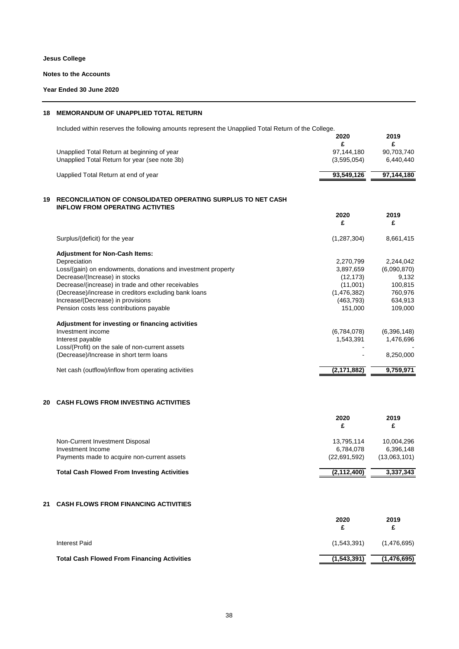#### **Notes to the Accounts**

### **Year Ended 30 June 2020**

# **18 MEMORANDUM OF UNAPPLIED TOTAL RETURN**

Included within reserves the following amounts represent the Unapplied Total Return of the College.

|    |                                                                                                               | 2020<br>£     | 2019<br>£   |
|----|---------------------------------------------------------------------------------------------------------------|---------------|-------------|
|    | Unapplied Total Return at beginning of year                                                                   | 97,144,180    | 90,703,740  |
|    | Unapplied Total Return for year (see note 3b)                                                                 | (3,595,054)   | 6,440,440   |
|    | Uapplied Total Return at end of year                                                                          | 93,549,126    | 97,144,180  |
| 19 | <b>RECONCILIATION OF CONSOLIDATED OPERATING SURPLUS TO NET CASH</b><br><b>INFLOW FROM OPERATING ACTIVTIES</b> |               |             |
|    |                                                                                                               | 2020<br>£     | 2019<br>£   |
|    | Surplus/(deficit) for the year                                                                                | (1, 287, 304) | 8,661,415   |
|    | <b>Adjustment for Non-Cash Items:</b>                                                                         |               |             |
|    | Depreciation                                                                                                  | 2,270,799     | 2,244,042   |
|    | Loss/(gain) on endowments, donations and investment property                                                  | 3,897,659     | (6,090,870) |
|    | Decrease/(Increase) in stocks                                                                                 | (12, 173)     | 9,132       |
|    | Decrease/(increase) in trade and other receivables                                                            | (11,001)      | 100,815     |
|    | (Decrease)/increase in creditors excluding bank loans                                                         | (1,476,382)   | 760,976     |
|    | Increase/(Decrease) in provisions                                                                             | (463,793)     | 634,913     |
|    | Pension costs less contributions payable                                                                      | 151,000       | 109,000     |
|    | Adjustment for investing or financing activities                                                              |               |             |
|    | Investment income                                                                                             | (6,784,078)   | (6,396,148) |
|    | Interest payable                                                                                              | 1,543,391     | 1,476,696   |
|    | Loss/(Profit) on the sale of non-current assets                                                               |               |             |
|    | (Decrease)/Increase in short term loans                                                                       |               | 8,250,000   |
|    | Net cash (outflow)/inflow from operating activities                                                           | (2, 171, 882) | 9,759,971   |
|    |                                                                                                               |               |             |

### **20 CASH FLOWS FROM INVESTING ACTIVITIES**

|                                                    | 2020<br>£     | 2019<br>£    |
|----------------------------------------------------|---------------|--------------|
| Non-Current Investment Disposal                    | 13.795.114    | 10.004.296   |
| Investment Income                                  | 6.784.078     | 6.396.148    |
| Payments made to acquire non-current assets        | (22,691,592)  | (13,063,101) |
| <b>Total Cash Flowed From Investing Activities</b> | (2, 112, 400) | 3,337,343    |

### **21 CASH FLOWS FROM FINANCING ACTIVITIES**

|                                                    | 2020        | 2019<br>£   |
|----------------------------------------------------|-------------|-------------|
| Interest Paid                                      | (1,543,391) | (1,476,695) |
| <b>Total Cash Flowed From Financing Activities</b> | (1,543,391) | (1,476,695) |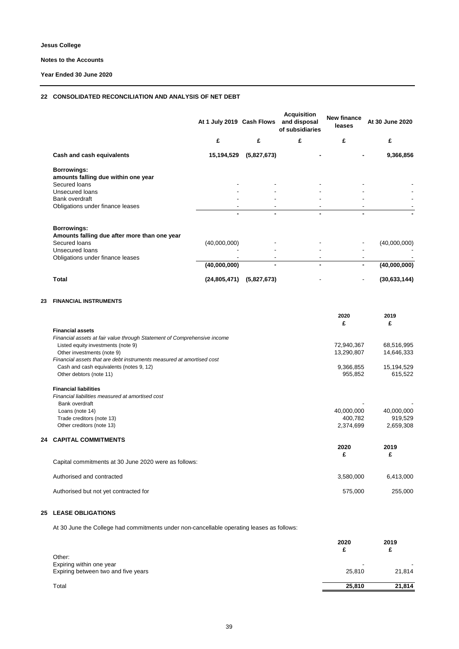#### **Notes to the Accounts**

**Year Ended 30 June 2020**

### **22 CONSOLIDATED RECONCILIATION AND ANALYSIS OF NET DEBT**

|                                                             | At 1 July 2019 Cash Flows |             | <b>Acquisition</b><br>and disposal<br>of subsidiaries | <b>New finance</b><br>leases | At 30 June 2020 |
|-------------------------------------------------------------|---------------------------|-------------|-------------------------------------------------------|------------------------------|-----------------|
|                                                             | £                         | £           | £                                                     | £                            | £               |
| Cash and cash equivalents                                   | 15,194,529                | (5,827,673) |                                                       |                              | 9,366,856       |
| Borrowings:<br>amounts falling due within one year          |                           |             |                                                       |                              |                 |
| Secured loans                                               |                           |             |                                                       |                              |                 |
| Unsecured loans                                             |                           |             |                                                       |                              |                 |
| Bank overdraft                                              |                           |             |                                                       |                              |                 |
| Obligations under finance leases                            |                           |             |                                                       |                              |                 |
| Borrowings:<br>Amounts falling due after more than one year |                           |             |                                                       |                              |                 |
| Secured loans                                               | (40,000,000)              |             |                                                       |                              | (40,000,000)    |
| Unsecured loans                                             |                           |             |                                                       |                              |                 |
| Obligations under finance leases                            |                           |             |                                                       |                              |                 |
|                                                             | (40,000,000)              |             |                                                       | ۰                            | (40,000,000)    |
| <b>Total</b>                                                | (24, 805, 471)            | (5,827,673) |                                                       | ٠                            | (30, 633, 144)  |

#### **23 FINANCIAL INSTRUMENTS**

|    |                                                                          | 2020<br>£  | 2019<br>£  |
|----|--------------------------------------------------------------------------|------------|------------|
|    | <b>Financial assets</b>                                                  |            |            |
|    | Financial assets at fair value through Statement of Comprehensive income |            |            |
|    | Listed equity investments (note 9)                                       | 72,940,367 | 68,516,995 |
|    | Other investments (note 9)                                               | 13,290,807 | 14,646,333 |
|    | Financial assets that are debt instruments measured at amortised cost    |            |            |
|    | Cash and cash equivalents (notes 9, 12)                                  | 9,366,855  | 15,194,529 |
|    | Other debtors (note 11)                                                  | 955,852    | 615,522    |
|    | <b>Financial liabilities</b>                                             |            |            |
|    | Financial liabilities measured at amortised cost                         |            |            |
|    | Bank overdraft                                                           |            |            |
|    | Loans (note 14)                                                          | 40,000,000 | 40,000,000 |
|    | Trade creditors (note 13)                                                | 400,782    | 919,529    |
|    | Other creditors (note 13)                                                | 2,374,699  | 2,659,308  |
| 24 | <b>CAPITAL COMMITMENTS</b>                                               |            |            |
|    |                                                                          | 2020       | 2019       |
|    |                                                                          | £          | £          |
|    | Capital commitments at 30 June 2020 were as follows:                     |            |            |
|    | Authorised and contracted                                                | 3,580,000  | 6,413,000  |
|    | Authorised but not yet contracted for                                    | 575,000    | 255,000    |
|    |                                                                          |            |            |

#### **25 LEASE OBLIGATIONS**

At 30 June the College had commitments under non-cancellable operating leases as follows:

|                                                                           | 2020   | 2019<br>£ |
|---------------------------------------------------------------------------|--------|-----------|
| Other:<br>Expiring within one year<br>Expiring between two and five years | 25,810 | 21,814    |
| Total                                                                     | 25,810 | 21,814    |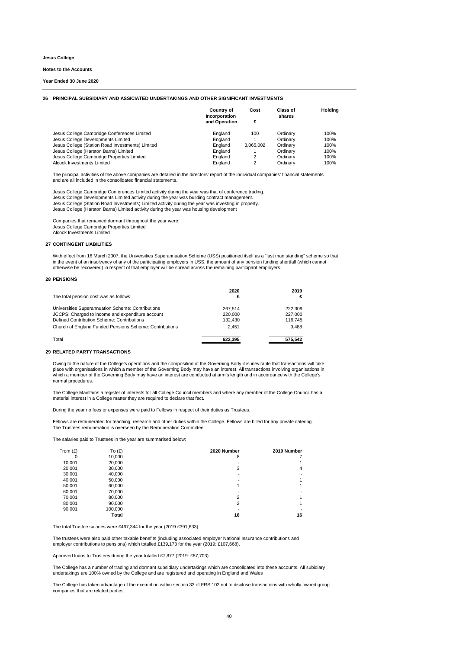#### **Notes to the Accounts**

#### **Year Ended 30 June 2020**

#### **26 PRINCIPAL SUBSIDIARY AND ASSICIATED UNDERTAKINGS AND OTHER SIGNIFICANT INVESTMENTS**

|                                                  | <b>Country of</b><br>Incorporation<br>and Operation | Cost<br>£      | Class of<br>shares | Holdina |
|--------------------------------------------------|-----------------------------------------------------|----------------|--------------------|---------|
| Jesus College Cambridge Conferences Limited      | England                                             | 100            | Ordinarv           | 100%    |
| Jesus College Developments Limited               | England                                             |                | Ordinary           | 100%    |
| Jesus College (Station Road Investments) Limited | England                                             | 3.065.002      | Ordinary           | 100%    |
| Jesus College (Harston Barns) Limited            | England                                             |                | Ordinary           | 100%    |
| Jesus College Cambridge Properties Limited       | England                                             | $\overline{2}$ | Ordinary           | 100%    |
| Alcock Investments Limited                       | England                                             | $\overline{2}$ | Ordinary           | 100%    |

The principal activities of the above companies are detailed in the directors' report of the individual companies' financial statements and are all included in the consolidated financial statements.

Jesus College Cambridge Conferences Limited activity during the year was that of conference trading. Jesus College Developments Limited activity during the year was building contract management. Jesus College (Station Road Investments) Limited activity during the year was investing in property. Jesus College (Harston Barns) Limited activity during the year was housing development

Companies that remained dormant throughout the year were: Jesus College Cambridge Properties Limited Alcock Investments Limited

#### **27 CONTINGENT LIABILITIES**

With effect from 16 March 2007, the Universities Superannuation Scheme (USS) positioned itself as a "last man standing" scheme so that in the event of an insolvency of any of the participating employers in USS, the amount of any pension funding shortfall (which cannot otherwise be recovered) in respect of that employer will be spread across the remaining participant employers.

#### **28 PENSIONS**

| The total pension cost was as follows:                  | 2020<br>£ | 2019<br>£ |
|---------------------------------------------------------|-----------|-----------|
| Universities Superannuation Scheme: Contributions       | 267.514   | 222.309   |
| JCCPS: Charged to income and expenditure account        | 220,000   | 227.000   |
| Defined Contribution Scheme: Contributions              | 132.430   | 116.745   |
| Church of England Funded Pensions Scheme: Contributions | 2.451     | 9.488     |
| Total                                                   | 622.395   | 575.542   |

#### **29 RELATED PARTY TRANSACTIONS**

Owing to the nature of the College's operations and the composition of the Governing Body it is inevitable that transactions will take place with organisations in which a member of the Governing Body may have an interest. All transactions involving organisations in<br>which a member of the Governing Body may have an interest are conducted at arm's length and normal procedures.

The College Maintains a register of interests for all College Council members and where any member of the College Council has a material interest in a College matter they are required to declare that fact.

During the year no fees or expenses were paid to Fellows in respect of their duties as Trustees.

Fellows are remunerated for teaching, research and other duties within the College. Fellows are billed for any private catering. The Trustees remuneration is overseen by the Remuneration Committee

The salaries paid to Trustees in the year are summarised below:

| From $(E)$ | To $(E)$ | 2020 Number    | 2019 Number |
|------------|----------|----------------|-------------|
| 0          | 10,000   | 8              |             |
| 10,001     | 20,000   |                |             |
| 20,001     | 30,000   | 3              | 4           |
| 30,001     | 40,000   |                |             |
| 40,001     | 50,000   |                |             |
| 50,001     | 60,000   |                |             |
| 60,001     | 70,000   |                |             |
| 70,001     | 80,000   | 2              |             |
| 80,001     | 90,000   | $\overline{2}$ |             |
| 90,001     | 100.000  |                |             |
|            | Total    | 16             | 16          |

The total Trustee salaries were £467,344 for the year (2019 £391,633).

The trustees were also paid other taxable benefits (including associated employer National Insurance contributions and employer contributions to pensions) which totalled £139,173 for the year (2019: £107,668).

Approved loans to Trustees during the year totalled £7,877 (2019: £87,703).

The College has a number of trading and dormant subsidiary undertakings which are consolidated into these accounts. All subidiary undertakings are 100% owned by the College and are registered and operating in England and Wales

The College has taken advantage of the exemption within section 33 of FRS 102 not to disclose transactions with wholly owned group companies that are related parties.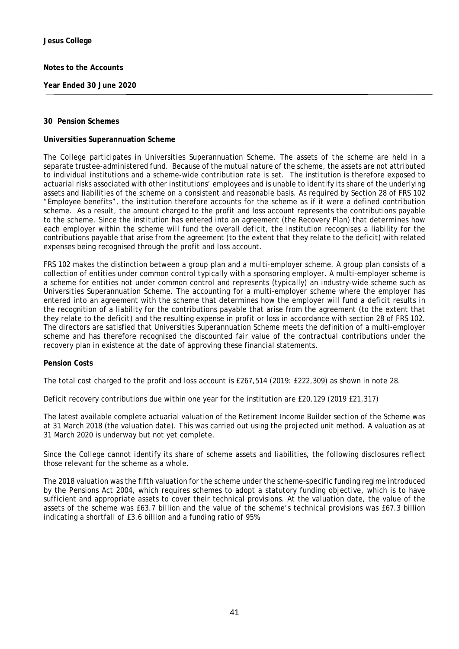**Year Ended 30 June 2020**

### **30 Pension Schemes**

### **Universities Superannuation Scheme**

The College participates in Universities Superannuation Scheme. The assets of the scheme are held in a separate trustee-administered fund. Because of the mutual nature of the scheme, the assets are not attributed to individual institutions and a scheme-wide contribution rate is set. The institution is therefore exposed to actuarial risks associated with other institutions' employees and is unable to identify its share of the underlying assets and liabilities of the scheme on a consistent and reasonable basis. As required by Section 28 of FRS 102 "Employee benefits", the institution therefore accounts for the scheme as if it were a defined contribution scheme. As a result, the amount charged to the profit and loss account represents the contributions payable to the scheme. Since the institution has entered into an agreement (the Recovery Plan) that determines how each employer within the scheme will fund the overall deficit, the institution recognises a liability for the contributions payable that arise from the agreement (to the extent that they relate to the deficit) with related expenses being recognised through the profit and loss account.

FRS 102 makes the distinction between a group plan and a multi-employer scheme. A group plan consists of a collection of entities under common control typically with a sponsoring employer. A multi-employer scheme is a scheme for entities not under common control and represents (typically) an industry-wide scheme such as Universities Superannuation Scheme. The accounting for a multi-employer scheme where the employer has entered into an agreement with the scheme that determines how the employer will fund a deficit results in the recognition of a liability for the contributions payable that arise from the agreement (to the extent that they relate to the deficit) and the resulting expense in profit or loss in accordance with section 28 of FRS 102. The directors are satisfied that Universities Superannuation Scheme meets the definition of a multi-employer scheme and has therefore recognised the discounted fair value of the contractual contributions under the recovery plan in existence at the date of approving these financial statements.

### **Pension Costs**

The total cost charged to the profit and loss account is £267,514 (2019: £222,309) as shown in note 28.

Deficit recovery contributions due within one year for the institution are £20,129 (2019 £21,317)

The latest available complete actuarial valuation of the Retirement Income Builder section of the Scheme was at 31 March 2018 (the valuation date). This was carried out using the projected unit method. A valuation as at 31 March 2020 is underway but not yet complete.

Since the College cannot identify its share of scheme assets and liabilities, the following disclosures reflect those relevant for the scheme as a whole.

The 2018 valuation was the fifth valuation for the scheme under the scheme-specific funding regime introduced by the Pensions Act 2004, which requires schemes to adopt a statutory funding objective, which is to have sufficient and appropriate assets to cover their technical provisions. At the valuation date, the value of the assets of the scheme was £63.7 billion and the value of the scheme's technical provisions was £67.3 billion indicating a shortfall of £3.6 billion and a funding ratio of 95%.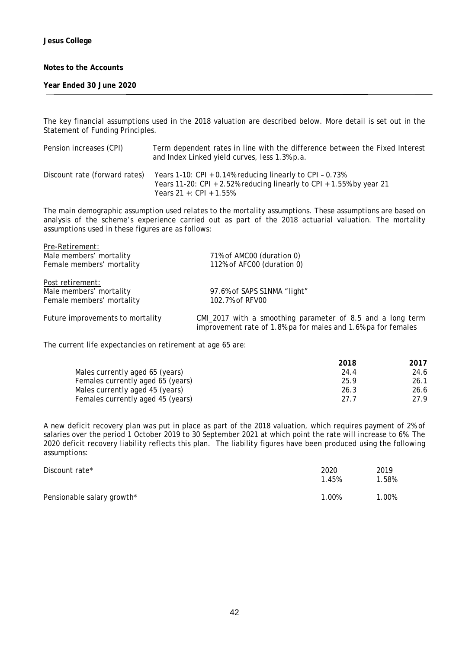**Year Ended 30 June 2020**

The key financial assumptions used in the 2018 valuation are described below. More detail is set out in the Statement of Funding Principles.

| Pension increases (CPI)       | Term dependent rates in line with the difference between the Fixed Interest<br>and Index Linked yield curves, less 1.3% p.a.                                  |
|-------------------------------|---------------------------------------------------------------------------------------------------------------------------------------------------------------|
| Discount rate (forward rates) | Years 1-10: CPI + 0.14% reducing linearly to CPI - 0.73%<br>Years 11-20: CPI + 2.52% reducing linearly to CPI + 1.55% by year 21<br>Years 21 +: $CPI + 1.55%$ |

The main demographic assumption used relates to the mortality assumptions. These assumptions are based on analysis of the scheme's experience carried out as part of the 2018 actuarial valuation. The mortality assumptions used in these figures are as follows:

| Pre-Retirement:                  |                                                                                                                             |
|----------------------------------|-----------------------------------------------------------------------------------------------------------------------------|
| Male members' mortality          | 71% of AMC00 (duration 0)                                                                                                   |
| Female members' mortality        | 112% of AFC00 (duration 0)                                                                                                  |
| Post retirement:                 |                                                                                                                             |
| Male members' mortality          | 97.6% of SAPS S1NMA "light"                                                                                                 |
| Female members' mortality        | 102.7% of RFV00                                                                                                             |
| Future improvements to mortality | CMI_2017 with a smoothing parameter of 8.5 and a long term<br>improvement rate of 1.8% pa for males and 1.6% pa for females |

The current life expectancies on retirement at age 65 are:

|                                   | 2018 | 2017 |
|-----------------------------------|------|------|
| Males currently aged 65 (years)   | 24.4 | 24.6 |
| Females currently aged 65 (years) | 25.9 | 26.1 |
| Males currently aged 45 (years)   | 26.3 | 26.6 |
| Females currently aged 45 (years) | 27.7 | 27.9 |

A new deficit recovery plan was put in place as part of the 2018 valuation, which requires payment of 2% of salaries over the period 1 October 2019 to 30 September 2021 at which point the rate will increase to 6%. The 2020 deficit recovery liability reflects this plan. The liability figures have been produced using the following assumptions:

| Discount rate*             | 2020<br>1.45% | 2019<br>1.58% |
|----------------------------|---------------|---------------|
| Pensionable salary growth* | 1.00%         | 1.00%         |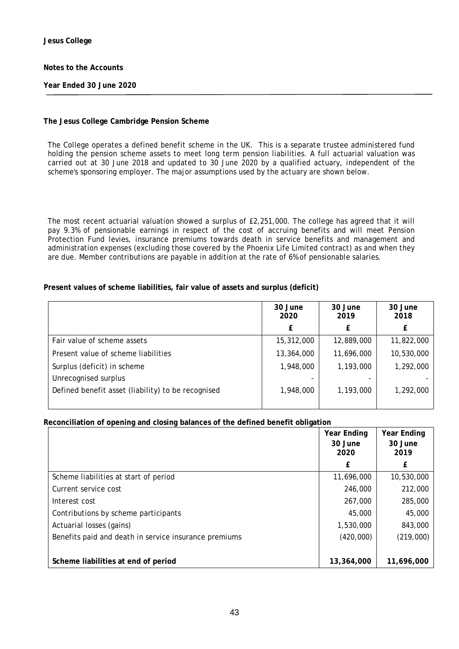**Year Ended 30 June 2020**

## **The Jesus College Cambridge Pension Scheme**

The College operates a defined benefit scheme in the UK. This is a separate trustee administered fund holding the pension scheme assets to meet long term pension liabilities. A full actuarial valuation was carried out at 30 June 2018 and updated to 30 June 2020 by a qualified actuary, independent of the scheme's sponsoring employer. The major assumptions used by the actuary are shown below.

The most recent actuarial valuation showed a surplus of £2,251,000. The college has agreed that it will pay 9.3% of pensionable earnings in respect of the cost of accruing benefits and will meet Pension Protection Fund levies, insurance premiums towards death in service benefits and management and administration expenses (excluding those covered by the Phoenix Life Limited contract) as and when they are due. Member contributions are payable in addition at the rate of 6% of pensionable salaries.

# **Present values of scheme liabilities, fair value of assets and surplus (deficit)**

|                                                    | 30 June<br>2020 | 30 June<br>2019 | 30 June<br>2018 |
|----------------------------------------------------|-----------------|-----------------|-----------------|
|                                                    |                 |                 |                 |
| Fair value of scheme assets                        | 15,312,000      | 12,889,000      | 11,822,000      |
| Present value of scheme liabilities                | 13,364,000      | 11,696,000      | 10,530,000      |
| Surplus (deficit) in scheme                        | 1,948,000       | 1,193,000       | 1,292,000       |
| Unrecognised surplus                               |                 |                 |                 |
| Defined benefit asset (liability) to be recognised | 1,948,000       | 1,193,000       | 1,292,000       |

### **Reconciliation of opening and closing balances of the defined benefit obligation**

|                                                       | Year Ending | <b>Year Ending</b> |
|-------------------------------------------------------|-------------|--------------------|
|                                                       | 30 June     | 30 June<br>2019    |
|                                                       | 2020        |                    |
|                                                       | £           | £                  |
| Scheme liabilities at start of period                 | 11,696,000  | 10,530,000         |
| Current service cost                                  | 246,000     | 212,000            |
| Interest cost                                         | 267,000     | 285,000            |
| Contributions by scheme participants                  | 45,000      | 45,000             |
| Actuarial losses (gains)                              | 1,530,000   | 843,000            |
| Benefits paid and death in service insurance premiums | (420,000)   | (219,000)          |
|                                                       |             |                    |
| Scheme liabilities at end of period                   | 13,364,000  | 11,696,000         |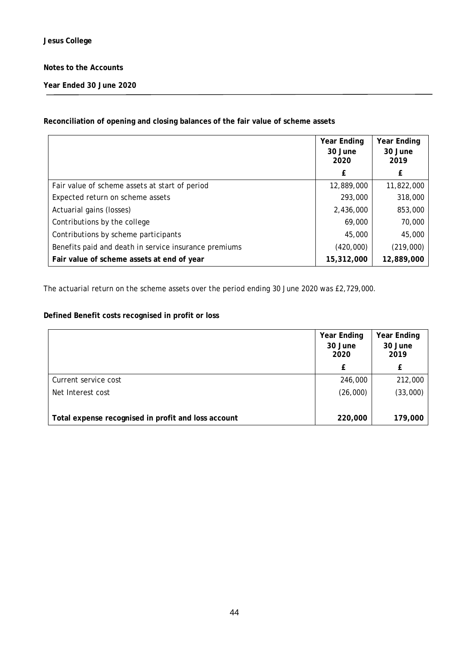**Year Ended 30 June 2020**

## **Reconciliation of opening and closing balances of the fair value of scheme assets**

|                                                       | <b>Year Ending</b><br>30 June<br>2020 | <b>Year Ending</b><br>30 June<br>2019 |
|-------------------------------------------------------|---------------------------------------|---------------------------------------|
|                                                       | £                                     |                                       |
| Fair value of scheme assets at start of period        | 12,889,000                            | 11,822,000                            |
| Expected return on scheme assets                      | 293,000                               | 318,000                               |
| Actuarial gains (losses)                              | 2,436,000                             | 853,000                               |
| Contributions by the college                          | 69,000                                | 70,000                                |
| Contributions by scheme participants                  | 45,000                                | 45,000                                |
| Benefits paid and death in service insurance premiums | (420,000)                             | (219,000)                             |
| Fair value of scheme assets at end of year            | 15,312,000                            | 12,889,000                            |

The actuarial return on the scheme assets over the period ending 30 June 2020 was £2,729,000.

# **Defined Benefit costs recognised in profit or loss**

|                                                     | <b>Year Ending</b> | Year Ending     |
|-----------------------------------------------------|--------------------|-----------------|
|                                                     | 30 June<br>2020    | 30 June<br>2019 |
|                                                     | £                  |                 |
| Current service cost                                | 246,000            | 212,000         |
| Net Interest cost                                   | (26,000)           | (33,000)        |
| Total expense recognised in profit and loss account | 220,000            | 179,000         |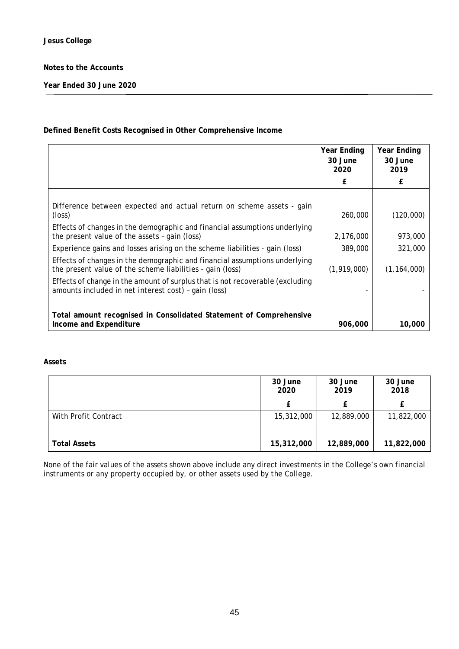**Year Ended 30 June 2020**

# **Defined Benefit Costs Recognised in Other Comprehensive Income**

|                                                                                                                                         | <b>Year Ending</b><br>30 June<br>2020 | <b>Year Ending</b><br>30 June<br>2019 |
|-----------------------------------------------------------------------------------------------------------------------------------------|---------------------------------------|---------------------------------------|
|                                                                                                                                         | £                                     | £                                     |
|                                                                                                                                         |                                       |                                       |
| Difference between expected and actual return on scheme assets - gain<br>$(\text{loss})$                                                | 260,000                               | (120,000)                             |
| Effects of changes in the demographic and financial assumptions underlying<br>the present value of the assets - gain (loss)             | 2,176,000                             | 973,000                               |
| Experience gains and losses arising on the scheme liabilities - gain (loss)                                                             | 389,000                               | 321,000                               |
| Effects of changes in the demographic and financial assumptions underlying<br>the present value of the scheme liabilities - gain (loss) | (1,919,000)                           | (1, 164, 000)                         |
| Effects of change in the amount of surplus that is not recoverable (excluding<br>amounts included in net interest cost) - gain (loss)   |                                       |                                       |
|                                                                                                                                         |                                       |                                       |
| Total amount recognised in Consolidated Statement of Comprehensive<br>Income and Expenditure                                            | 906,000                               | 10,000                                |

### **Assets**

|                      | 30 June<br>2020 | 30 June<br>2019 | 30 June<br>2018 |  |
|----------------------|-----------------|-----------------|-----------------|--|
|                      | £               | £               |                 |  |
| With Profit Contract | 15,312,000      | 12,889,000      | 11,822,000      |  |
| <b>Total Assets</b>  | 15,312,000      | 12,889,000      | 11,822,000      |  |

None of the fair values of the assets shown above include any direct investments in the College's own financial instruments or any property occupied by, or other assets used by the College.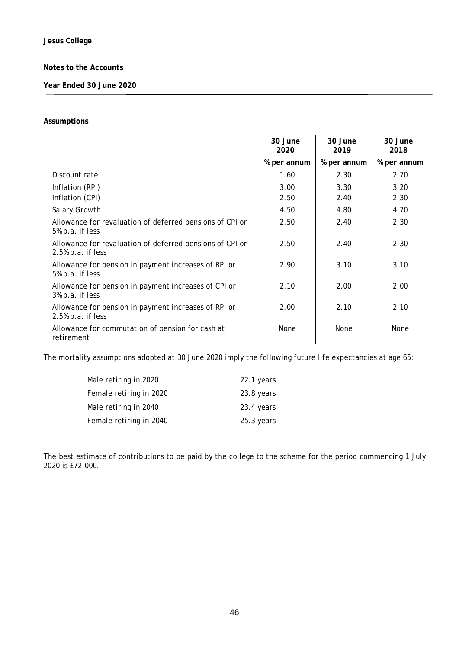**Year Ended 30 June 2020**

### **Assumptions**

|                                                                                  | 30 June<br>2020 | 30 June<br>2019 | 30 June<br>2018 |
|----------------------------------------------------------------------------------|-----------------|-----------------|-----------------|
|                                                                                  | % per annum     | % per annum     | % per annum     |
| Discount rate                                                                    | 1.60            | 2.30            | 2.70            |
| Inflation (RPI)                                                                  | 3.00            | 3.30            | 3.20            |
| Inflation (CPI)                                                                  | 2.50            | 2.40            | 2.30            |
| Salary Growth                                                                    | 4.50            | 4.80            | 4.70            |
| Allowance for revaluation of deferred pensions of CPI or<br>5% p.a. if less      | 2.50            | 2.40            | 2.30            |
| Allowance for revaluation of deferred pensions of CPI or<br>$2.5\%$ p.a. if less | 2.50            | 2.40            | 2.30            |
| Allowance for pension in payment increases of RPI or<br>5% p.a. if less          | 2.90            | 3.10            | 3.10            |
| Allowance for pension in payment increases of CPI or<br>3% p.a. if less          | 2.10            | 2.00            | 2.00            |
| Allowance for pension in payment increases of RPI or<br>$2.5%$ p.a. if less      | 2.00            | 2.10            | 2.10            |
| Allowance for commutation of pension for cash at<br>retirement                   | None            | None            | None            |

The mortality assumptions adopted at 30 June 2020 imply the following future life expectancies at age 65:

| Male retiring in 2020   | 22.1 years |
|-------------------------|------------|
| Female retiring in 2020 | 23.8 years |
| Male retiring in 2040   | 23.4 years |
| Female retiring in 2040 | 25.3 years |

The best estimate of contributions to be paid by the college to the scheme for the period commencing 1 July 2020 is £72,000.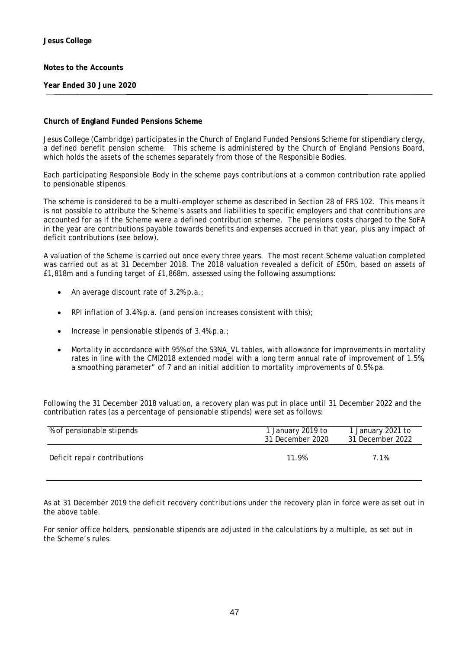**Year Ended 30 June 2020**

### **Church of England Funded Pensions Scheme**

Jesus College (Cambridge) participates in the Church of England Funded Pensions Scheme for stipendiary clergy, a defined benefit pension scheme. This scheme is administered by the Church of England Pensions Board, which holds the assets of the schemes separately from those of the Responsible Bodies.

Each participating Responsible Body in the scheme pays contributions at a common contribution rate applied to pensionable stipends.

The scheme is considered to be a multi-employer scheme as described in Section 28 of FRS 102. This means it is not possible to attribute the Scheme's assets and liabilities to specific employers and that contributions are accounted for as if the Scheme were a defined contribution scheme. The pensions costs charged to the SoFA in the year are contributions payable towards benefits and expenses accrued in that year, plus any impact of deficit contributions (see below).

A valuation of the Scheme is carried out once every three years. The most recent Scheme valuation completed was carried out as at 31 December 2018. The 2018 valuation revealed a deficit of £50m, based on assets of £1,818m and a funding target of £1,868m, assessed using the following assumptions:

- An average discount rate of 3.2% p.a.;
- RPI inflation of 3.4% p.a. (and pension increases consistent with this);
- Increase in pensionable stipends of  $3.4\%$  p.a.;
- Mortality in accordance with 95% of the S3NA\_VL tables, with allowance for improvements in mortality rates in line with the CMI2018 extended model with a long term annual rate of improvement of 1.5%, a smoothing parameter" of 7 and an initial addition to mortality improvements of 0.5% pa.

Following the 31 December 2018 valuation, a recovery plan was put in place until 31 December 2022 and the contribution rates (as a percentage of pensionable stipends) were set as follows:

| % of pensionable stipends    | 1 January 2019 to<br>31 December 2020 | 1 January 2021 to<br>31 December 2022 |  |
|------------------------------|---------------------------------------|---------------------------------------|--|
| Deficit repair contributions | 11 9%                                 | 7.1%                                  |  |

As at 31 December 2019 the deficit recovery contributions under the recovery plan in force were as set out in the above table.

For senior office holders, pensionable stipends are adjusted in the calculations by a multiple, as set out in the Scheme's rules.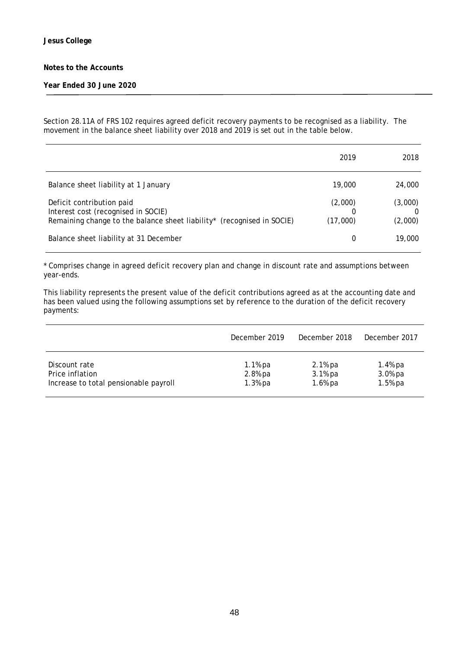### **Year Ended 30 June 2020**

Section 28.11A of FRS 102 requires agreed deficit recovery payments to be recognised as a liability. The movement in the balance sheet liability over 2018 and 2019 is set out in the table below.

|                                                                                                                                            | 2019                | 2018               |
|--------------------------------------------------------------------------------------------------------------------------------------------|---------------------|--------------------|
| Balance sheet liability at 1 January                                                                                                       | 19,000              | 24,000             |
| Deficit contribution paid<br>Interest cost (recognised in SOCIE)<br>Remaining change to the balance sheet liability* (recognised in SOCIE) | (2,000)<br>(17,000) | (3,000)<br>(2,000) |
| Balance sheet liability at 31 December                                                                                                     | 0                   | 19,000             |

\* Comprises change in agreed deficit recovery plan and change in discount rate and assumptions between year-ends.

This liability represents the present value of the deficit contributions agreed as at the accounting date and has been valued using the following assumptions set by reference to the duration of the deficit recovery payments:

|                                       | December 2019 | December 2018 | December 2017 |
|---------------------------------------|---------------|---------------|---------------|
| Discount rate                         | $1.1%$ pa     | 2.1% pa       | 1.4% pa       |
| Price inflation                       | 2.8% pa       | 3.1% pa       | 3.0% pa       |
| Increase to total pensionable payroll | $1.3%$ pa     | $1.6%$ pa     | 1.5% pa       |